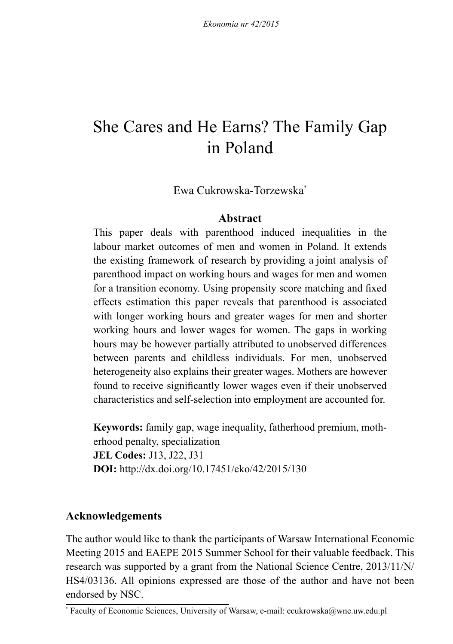# She Cares and He Earns? The Family Gap in Poland

Ewa Cukrowska-Torzewska\*

### **Abstract**

This paper deals with parenthood induced inequalities in the labour market outcomes of men and women in Poland. It extends the existing framework of research by providing a joint analysis of parenthood impact on working hours and wages for men and women for a transition economy. Using propensity score matching and fixed effects estimation this paper reveals that parenthood is associated with longer working hours and greater wages for men and shorter working hours and lower wages for women. The gaps in working hours may be however partially attributed to unobserved differences between parents and childless individuals. For men, unobserved heterogeneity also explains their greater wages. Mothers are however found to receive significantly lower wages even if their unobserved characteristics and self-selection into employment are accounted for.

**Keywords:** family gap, wage inequality, fatherhood premium, motherhood penalty, specialization **JEL Codes:** J13, J22, J31 **DOI:** http://dx.doi.org/10.17451/eko/42/2015/130

# **Acknowledgements**

The author would like to thank the participants of Warsaw International Economic Meeting 2015 and EAEPE 2015 Summer School for their valuable feedback. This research was supported by a grant from the National Science Centre, 2013/11/N/ HS4/03136. All opinions expressed are those of the author and have not been endorsed by NSC.

<sup>\*</sup> Faculty of Economic Sciences, University of Warsaw, e-mail: ecukrowska@wne.uw.edu.pl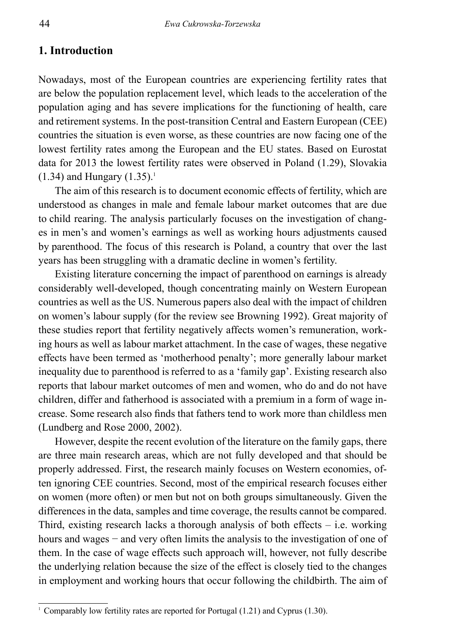### **1. Introduction**

Nowadays, most of the European countries are experiencing fertility rates that are below the population replacement level, which leads to the acceleration of the population aging and has severe implications for the functioning of health, care and retirement systems. In the post-transition Central and Eastern European (CEE) countries the situation is even worse, as these countries are now facing one of the lowest fertility rates among the European and the EU states. Based on Eurostat data for 2013 the lowest fertility rates were observed in Poland (1.29), Slovakia  $(1.34)$  and Hungary  $(1.35)^{1}$ 

The aim of this research is to document economic effects of fertility, which are understood as changes in male and female labour market outcomes that are due to child rearing. The analysis particularly focuses on the investigation of changes in men's and women's earnings as well as working hours adjustments caused by parenthood. The focus of this research is Poland, a country that over the last years has been struggling with a dramatic decline in women's fertility.

Existing literature concerning the impact of parenthood on earnings is already considerably well-developed, though concentrating mainly on Western European countries as well as the US. Numerous papers also deal with the impact of children on women's labour supply (for the review see Browning 1992). Great majority of these studies report that fertility negatively affects women's remuneration, working hours as well as labour market attachment. In the case of wages, these negative effects have been termed as 'motherhood penalty'; more generally labour market inequality due to parenthood is referred to as a 'family gap'. Existing research also reports that labour market outcomes of men and women, who do and do not have children, differ and fatherhood is associated with a premium in a form of wage increase. Some research also finds that fathers tend to work more than childless men (Lundberg and Rose 2000, 2002).

However, despite the recent evolution of the literature on the family gaps, there are three main research areas, which are not fully developed and that should be properly addressed. First, the research mainly focuses on Western economies, often ignoring CEE countries. Second, most of the empirical research focuses either on women (more often) or men but not on both groups simultaneously. Given the differences in the data, samples and time coverage, the results cannot be compared. Third, existing research lacks a thorough analysis of both effects  $-$  i.e. working hours and wages – and very often limits the analysis to the investigation of one of them. In the case of wage effects such approach will, however, not fully describe the underlying relation because the size of the effect is closely tied to the changes in employment and working hours that occur following the childbirth. The aim of

<sup>&</sup>lt;sup>1</sup> Comparably low fertility rates are reported for Portugal  $(1.21)$  and Cyprus  $(1.30)$ .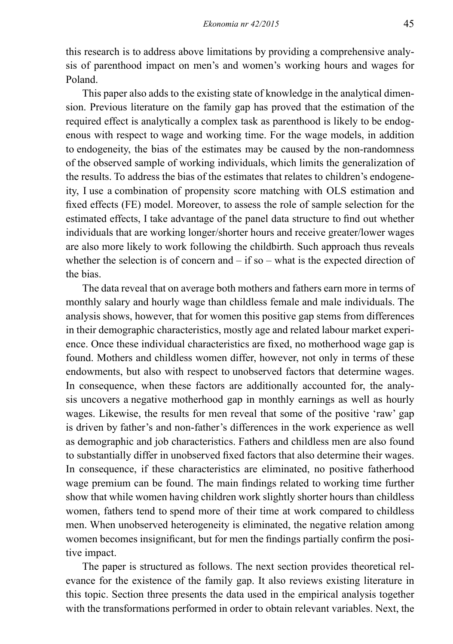this research is to address above limitations by providing a comprehensive analysis of parenthood impact on men's and women's working hours and wages for Poland.

This paper also adds to the existing state of knowledge in the analytical dimension. Previous literature on the family gap has proved that the estimation of the required effect is analytically a complex task as parenthood is likely to be endogenous with respect to wage and working time. For the wage models, in addition to endogeneity, the bias of the estimates may be caused by the non-randomness of the observed sample of working individuals, which limits the generalization of the results. To address the bias of the estimates that relates to children's endogeneity, I use a combination of propensity score matching with OLS estimation and fixed effects (FE) model. Moreover, to assess the role of sample selection for the estimated effects, I take advantage of the panel data structure to find out whether individuals that are working longer/shorter hours and receive greater/lower wages are also more likely to work following the childbirth. Such approach thus reveals whether the selection is of concern and  $-$  if so  $-$  what is the expected direction of the bias.

The data reveal that on average both mothers and fathers earn more in terms of monthly salary and hourly wage than childless female and male individuals. The analysis shows, however, that for women this positive gap stems from differences in their demographic characteristics, mostly age and related labour market experience. Once these individual characteristics are fixed, no motherhood wage gap is found. Mothers and childless women differ, however, not only in terms of these endowments, but also with respect to unobserved factors that determine wages. In consequence, when these factors are additionally accounted for, the analysis uncovers a negative motherhood gap in monthly earnings as well as hourly wages. Likewise, the results for men reveal that some of the positive 'raw' gap is driven by father's and non-father's differences in the work experience as well as demographic and job characteristics. Fathers and childless men are also found to substantially differ in unobserved fixed factors that also determine their wages. In consequence, if these characteristics are eliminated, no positive fatherhood wage premium can be found. The main findings related to working time further show that while women having children work slightly shorter hours than childless women, fathers tend to spend more of their time at work compared to childless men. When unobserved heterogeneity is eliminated, the negative relation among women becomes insignificant, but for men the findings partially confirm the positive impact.

The paper is structured as follows. The next section provides theoretical relevance for the existence of the family gap. It also reviews existing literature in this topic. Section three presents the data used in the empirical analysis together with the transformations performed in order to obtain relevant variables. Next, the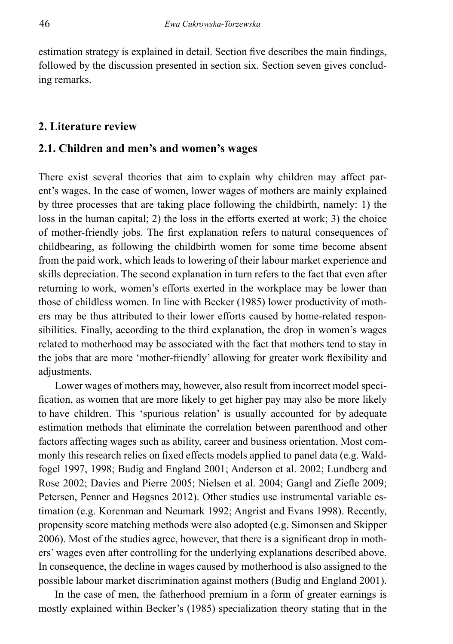estimation strategy is explained in detail. Section five describes the main findings, followed by the discussion presented in section six. Section seven gives concluding remarks.

#### **2. Literature review**

# **2.1. Children and men's and women's wages**

There exist several theories that aim to explain why children may affect parent's wages. In the case of women, lower wages of mothers are mainly explained by three processes that are taking place following the childbirth, namely: 1) the loss in the human capital; 2) the loss in the efforts exerted at work; 3) the choice of mother-friendly jobs. The first explanation refers to natural consequences of childbearing, as following the childbirth women for some time become absent from the paid work, which leads to lowering of their labour market experience and skills depreciation. The second explanation in turn refers to the fact that even after returning to work, women's efforts exerted in the workplace may be lower than those of childless women. In line with Becker (1985) lower productivity of mothers may be thus attributed to their lower efforts caused by home-related responsibilities. Finally, according to the third explanation, the drop in women's wages related to motherhood may be associated with the fact that mothers tend to stay in the jobs that are more 'mother-friendly' allowing for greater work flexibility and adjustments.

Lower wages of mothers may, however, also result from incorrect model specification, as women that are more likely to get higher pay may also be more likely to have children. This 'spurious relation' is usually accounted for by adequate estimation methods that eliminate the correlation between parenthood and other factors affecting wages such as ability, career and business orientation. Most commonly this research relies on fixed effects models applied to panel data (e.g. Waldfogel 1997, 1998; Budig and England 2001; Anderson et al. 2002; Lundberg and Rose 2002; Davies and Pierre 2005; Nielsen et al. 2004; Gangl and Ziefle 2009; Petersen, Penner and Høgsnes 2012). Other studies use instrumental variable estimation (e.g. Korenman and Neumark 1992; Angrist and Evans 1998). Recently, propensity score matching methods were also adopted (e.g. Simonsen and Skipper 2006). Most of the studies agree, however, that there is a significant drop in mothers' wages even after controlling for the underlying explanations described above. In consequence, the decline in wages caused by motherhood is also assigned to the possible labour market discrimination against mothers (Budig and England 2001).

In the case of men, the fatherhood premium in a form of greater earnings is mostly explained within Becker's (1985) specialization theory stating that in the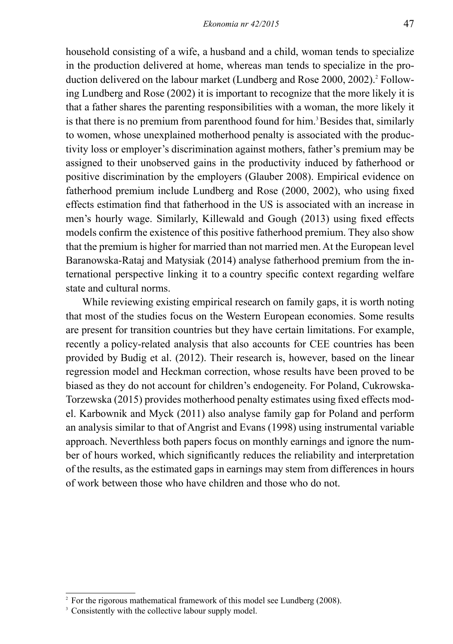household consisting of a wife, a husband and a child, woman tends to specialize in the production delivered at home, whereas man tends to specialize in the production delivered on the labour market (Lundberg and Rose 2000, 2002).<sup>2</sup> Following Lundberg and Rose (2002) it is important to recognize that the more likely it is that a father shares the parenting responsibilities with a woman, the more likely it is that there is no premium from parenthood found for him.<sup>3</sup> Besides that, similarly to women, whose unexplained motherhood penalty is associated with the productivity loss or employer's discrimination against mothers, father's premium may be assigned to their unobserved gains in the productivity induced by fatherhood or positive discrimination by the employers (Glauber 2008). Empirical evidence on fatherhood premium include Lundberg and Rose (2000, 2002), who using fixed effects estimation find that fatherhood in the US is associated with an increase in men's hourly wage. Similarly, Killewald and Gough (2013) using fixed effects models confirm the existence of this positive fatherhood premium. They also show that the premium is higher for married than not married men. At the European level Baranowska-Rataj and Matysiak (2014) analyse fatherhood premium from the international perspective linking it to a country specific context regarding welfare state and cultural norms.

While reviewing existing empirical research on family gaps, it is worth noting that most of the studies focus on the Western European economies. Some results are present for transition countries but they have certain limitations. For example, recently a policy-related analysis that also accounts for CEE countries has been provided by Budig et al. (2012). Their research is, however, based on the linear regression model and Heckman correction, whose results have been proved to be biased as they do not account for children's endogeneity. For Poland, Cukrowska-Torzewska (2015) provides motherhood penalty estimates using fixed effects model. Karbownik and Myck (2011) also analyse family gap for Poland and perform an analysis similar to that of Angrist and Evans (1998) using instrumental variable approach. Neverthless both papers focus on monthly earnings and ignore the number of hours worked, which significantly reduces the reliability and interpretation of the results, as the estimated gaps in earnings may stem from differences in hours of work between those who have children and those who do not.

<sup>&</sup>lt;sup>2</sup> For the rigorous mathematical framework of this model see Lundberg (2008).

<sup>&</sup>lt;sup>3</sup> Consistently with the collective labour supply model.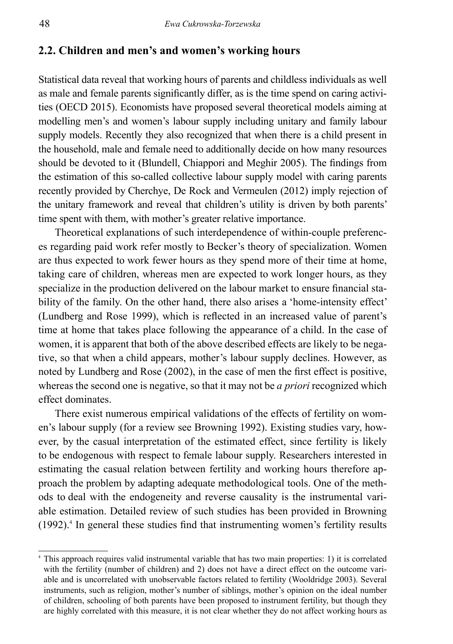# **2.2. Children and men's and women's working hours**

Statistical data reveal that working hours of parents and childless individuals as well as male and female parents significantly differ, as is the time spend on caring activities (OECD 2015). Economists have proposed several theoretical models aiming at modelling men's and women's labour supply including unitary and family labour supply models. Recently they also recognized that when there is a child present in the household, male and female need to additionally decide on how many resources should be devoted to it (Blundell, Chiappori and Meghir 2005). The findings from the estimation of this so-called collective labour supply model with caring parents recently provided by Cherchye, De Rock and Vermeulen (2012) imply rejection of the unitary framework and reveal that children's utility is driven by both parents' time spent with them, with mother's greater relative importance.

Theoretical explanations of such interdependence of within-couple preferences regarding paid work refer mostly to Becker's theory of specialization. Women are thus expected to work fewer hours as they spend more of their time at home, taking care of children, whereas men are expected to work longer hours, as they specialize in the production delivered on the labour market to ensure financial stability of the family. On the other hand, there also arises a 'home-intensity effect' (Lundberg and Rose 1999), which is reflected in an increased value of parent's time at home that takes place following the appearance of a child. In the case of women, it is apparent that both of the above described effects are likely to be negative, so that when a child appears, mother's labour supply declines. However, as noted by Lundberg and Rose (2002), in the case of men the first effect is positive, whereas the second one is negative, so that it may not be *a priori* recognized which effect dominates.

There exist numerous empirical validations of the effects of fertility on women's labour supply (for a review see Browning 1992). Existing studies vary, however, by the casual interpretation of the estimated effect, since fertility is likely to be endogenous with respect to female labour supply. Researchers interested in estimating the casual relation between fertility and working hours therefore approach the problem by adapting adequate methodological tools. One of the methods to deal with the endogeneity and reverse causality is the instrumental variable estimation. Detailed review of such studies has been provided in Browning  $(1992)$ .<sup>4</sup> In general these studies find that instrumenting women's fertility results

<sup>4</sup> This approach requires valid instrumental variable that has two main properties: 1) it is correlated with the fertility (number of children) and 2) does not have a direct effect on the outcome variable and is uncorrelated with unobservable factors related to fertility (Wooldridge 2003). Several instruments, such as religion, mother's number of siblings, mother's opinion on the ideal number of children, schooling of both parents have been proposed to instrument fertility, but though they are highly correlated with this measure, it is not clear whether they do not affect working hours as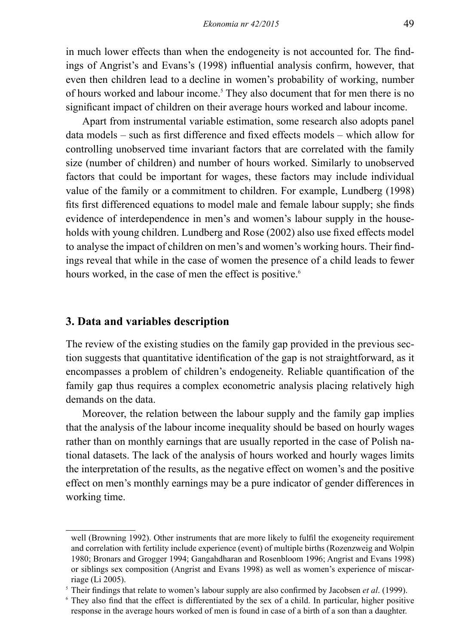in much lower effects than when the endogeneity is not accounted for. The findings of Angrist's and Evans's (1998) influential analysis confirm, however, that even then children lead to a decline in women's probability of working, number of hours worked and labour income.<sup>5</sup> They also document that for men there is no significant impact of children on their average hours worked and labour income.

Apart from instrumental variable estimation, some research also adopts panel data models – such as first difference and fixed effects models – which allow for controlling unobserved time invariant factors that are correlated with the family size (number of children) and number of hours worked. Similarly to unobserved factors that could be important for wages, these factors may include individual value of the family or a commitment to children. For example, Lundberg (1998) fits first differenced equations to model male and female labour supply; she finds evidence of interdependence in men's and women's labour supply in the households with young children. Lundberg and Rose (2002) also use fixed effects model to analyse the impact of children on men's and women's working hours. Their findings reveal that while in the case of women the presence of a child leads to fewer hours worked, in the case of men the effect is positive.<sup>6</sup>

#### **3. Data and variables description**

The review of the existing studies on the family gap provided in the previous section suggests that quantitative identification of the gap is not straightforward, as it encompasses a problem of children's endogeneity. Reliable quantification of the family gap thus requires a complex econometric analysis placing relatively high demands on the data.

Moreover, the relation between the labour supply and the family gap implies that the analysis of the labour income inequality should be based on hourly wages rather than on monthly earnings that are usually reported in the case of Polish national datasets. The lack of the analysis of hours worked and hourly wages limits the interpretation of the results, as the negative effect on women's and the positive effect on men's monthly earnings may be a pure indicator of gender differences in working time.

well (Browning 1992). Other instruments that are more likely to fulfil the exogeneity requirement and correlation with fertility include experience (event) of multiple births (Rozenzweig and Wolpin 1980; Bronars and Grogger 1994; Gangahdharan and Rosenbloom 1996; Angrist and Evans 1998) or siblings sex composition (Angrist and Evans 1998) as well as women's experience of miscarriage (Li 2005).

<sup>5</sup> Their findings that relate to women's labour supply are also confirmed by Jacobsen *et al*. (1999).

<sup>6</sup> They also find that the effect is differentiated by the sex of a child. In particular, higher positive response in the average hours worked of men is found in case of a birth of a son than a daughter.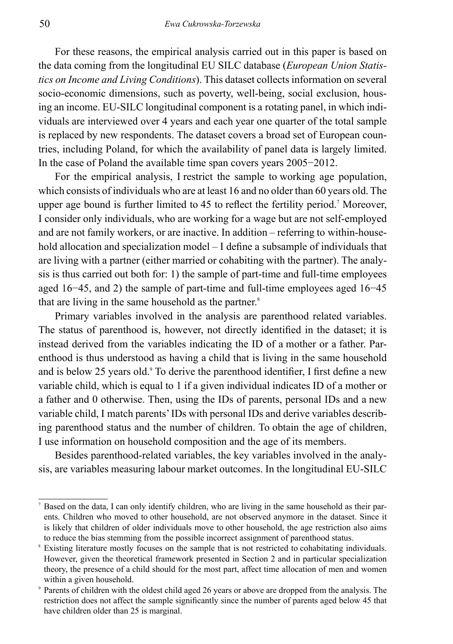For these reasons, the empirical analysis carried out in this paper is based on the data coming from the longitudinal EU SILC database (*European Union Statistics on Income and Living Conditions*). This dataset collects information on several socio-economic dimensions, such as poverty, well-being, social exclusion, housing an income. EU-SILC longitudinal component is a rotating panel, in which individuals are interviewed over 4 years and each year one quarter of the total sample is replaced by new respondents. The dataset covers a broad set of European countries, including Poland, for which the availability of panel data is largely limited. In the case of Poland the available time span covers years 2005−2012.

For the empirical analysis, I restrict the sample to working age population, which consists of individuals who are at least 16 and no older than 60 years old. The upper age bound is further limited to 45 to reflect the fertility period.7 Moreover, I consider only individuals, who are working for a wage but are not self-employed and are not family workers, or are inactive. In addition – referring to within-household allocation and specialization model – I define a subsample of individuals that are living with a partner (either married or cohabiting with the partner). The analysis is thus carried out both for: 1) the sample of part-time and full-time employees aged 16−45, and 2) the sample of part-time and full-time employees aged 16−45 that are living in the same household as the partner.<sup>8</sup>

Primary variables involved in the analysis are parenthood related variables. The status of parenthood is, however, not directly identified in the dataset; it is instead derived from the variables indicating the ID of a mother or a father. Parenthood is thus understood as having a child that is living in the same household and is below 25 years old.<sup>9</sup> To derive the parenthood identifier, I first define a new variable child, which is equal to 1 if a given individual indicates ID of a mother or a father and 0 otherwise. Then, using the IDs of parents, personal IDs and a new variable child, I match parents' IDs with personal IDs and derive variables describing parenthood status and the number of children. To obtain the age of children, I use information on household composition and the age of its members.

Besides parenthood-related variables, the key variables involved in the analysis, are variables measuring labour market outcomes. In the longitudinal EU-SILC

Based on the data, I can only identify children, who are living in the same household as their parents. Children who moved to other household, are not observed anymore in the dataset. Since it is likely that children of older individuals move to other household, the age restriction also aims to reduce the bias stemming from the possible incorrect assignment of parenthood status.

Existing literature mostly focuses on the sample that is not restricted to cohabitating individuals. However, given the theoretical framework presented in Section 2 and in particular specialization theory, the presence of a child should for the most part, affect time allocation of men and women within a given household.

<sup>9</sup> Parents of children with the oldest child aged 26 years or above are dropped from the analysis. The restriction does not affect the sample significantly since the number of parents aged below 45 that have children older than 25 is marginal.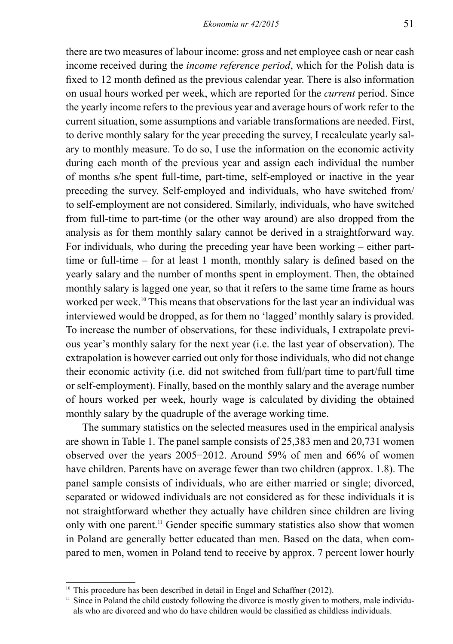there are two measures of labour income: gross and net employee cash or near cash income received during the *income reference period*, which for the Polish data is fixed to 12 month defined as the previous calendar year. There is also information on usual hours worked per week, which are reported for the *current* period. Since the yearly income refers to the previous year and average hours of work refer to the current situation, some assumptions and variable transformations are needed. First, to derive monthly salary for the year preceding the survey, I recalculate yearly salary to monthly measure. To do so, I use the information on the economic activity during each month of the previous year and assign each individual the number of months s/he spent full-time, part-time, self-employed or inactive in the year preceding the survey. Self-employed and individuals, who have switched from/ to self-employment are not considered. Similarly, individuals, who have switched from full-time to part-time (or the other way around) are also dropped from the analysis as for them monthly salary cannot be derived in a straightforward way. For individuals, who during the preceding year have been working – either parttime or full-time – for at least 1 month, monthly salary is defined based on the yearly salary and the number of months spent in employment. Then, the obtained monthly salary is lagged one year, so that it refers to the same time frame as hours worked per week.<sup>10</sup> This means that observations for the last year an individual was interviewed would be dropped, as for them no 'lagged' monthly salary is provided. To increase the number of observations, for these individuals, I extrapolate previous year's monthly salary for the next year (i.e. the last year of observation). The extrapolation is however carried out only for those individuals, who did not change their economic activity (i.e. did not switched from full/part time to part/full time or self-employment). Finally, based on the monthly salary and the average number of hours worked per week, hourly wage is calculated by dividing the obtained monthly salary by the quadruple of the average working time.

The summary statistics on the selected measures used in the empirical analysis are shown in Table 1. The panel sample consists of 25,383 men and 20,731 women observed over the years 2005−2012. Around 59% of men and 66% of women have children. Parents have on average fewer than two children (approx. 1.8). The panel sample consists of individuals, who are either married or single; divorced, separated or widowed individuals are not considered as for these individuals it is not straightforward whether they actually have children since children are living only with one parent.<sup>11</sup> Gender specific summary statistics also show that women in Poland are generally better educated than men. Based on the data, when compared to men, women in Poland tend to receive by approx. 7 percent lower hourly

<sup>&</sup>lt;sup>10</sup> This procedure has been described in detail in Engel and Schaffner (2012).

 $<sup>11</sup>$  Since in Poland the child custody following the divorce is mostly given to mothers, male individu-</sup> als who are divorced and who do have children would be classified as childless individuals.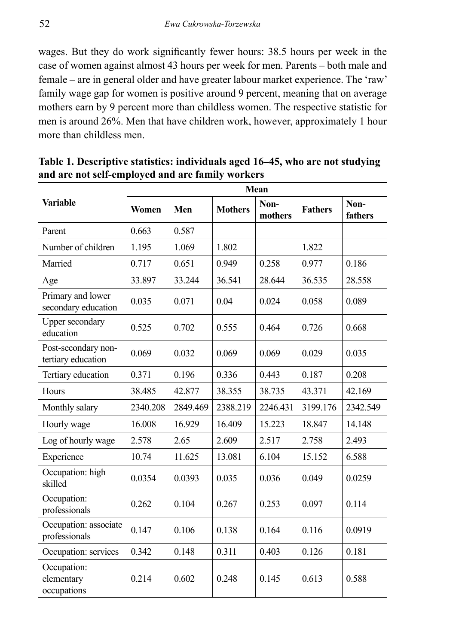wages. But they do work significantly fewer hours: 38.5 hours per week in the case of women against almost 43 hours per week for men. Parents – both male and female – are in general older and have greater labour market experience. The 'raw' family wage gap for women is positive around 9 percent, meaning that on average mothers earn by 9 percent more than childless women. The respective statistic for men is around 26%. Men that have children work, however, approximately 1 hour more than childless men.

|                                           | Mean     |          |                |                 |                |                 |  |  |  |  |
|-------------------------------------------|----------|----------|----------------|-----------------|----------------|-----------------|--|--|--|--|
| <b>Variable</b>                           | Women    | Men      | <b>Mothers</b> | Non-<br>mothers | <b>Fathers</b> | Non-<br>fathers |  |  |  |  |
| Parent                                    | 0.663    | 0.587    |                |                 |                |                 |  |  |  |  |
| Number of children                        | 1.195    | 1.069    | 1.802          |                 | 1.822          |                 |  |  |  |  |
| Married                                   | 0.717    | 0.651    | 0.949          | 0.258           | 0.977          | 0.186           |  |  |  |  |
| Age                                       | 33.897   | 33.244   | 36.541         | 28.644          | 36.535         | 28.558          |  |  |  |  |
| Primary and lower<br>secondary education  | 0.035    | 0.071    | 0.04           | 0.024           | 0.058          | 0.089           |  |  |  |  |
| Upper secondary<br>education              | 0.525    | 0.702    | 0.555          | 0.464           | 0.726          | 0.668           |  |  |  |  |
| Post-secondary non-<br>tertiary education | 0.069    | 0.032    | 0.069          | 0.069           | 0.029          | 0.035           |  |  |  |  |
| Tertiary education                        | 0.371    | 0.196    | 0.336          | 0.443           | 0.187          | 0.208           |  |  |  |  |
| Hours                                     | 38.485   | 42.877   | 38.355         | 38.735          | 43.371         | 42.169          |  |  |  |  |
| Monthly salary                            | 2340.208 | 2849.469 | 2388.219       | 2246.431        | 3199.176       | 2342.549        |  |  |  |  |
| Hourly wage                               | 16.008   | 16.929   | 16.409         | 15.223          | 18.847         | 14.148          |  |  |  |  |
| Log of hourly wage                        | 2.578    | 2.65     | 2.609          | 2.517           | 2.758          | 2.493           |  |  |  |  |
| Experience                                | 10.74    | 11.625   | 13.081         | 6.104           | 15.152         | 6.588           |  |  |  |  |
| Occupation: high<br>skilled               | 0.0354   | 0.0393   | 0.035          | 0.036           | 0.049          | 0.0259          |  |  |  |  |
| Occupation:<br>professionals              | 0.262    | 0.104    | 0.267          | 0.253           | 0.097          | 0.114           |  |  |  |  |
| Occupation: associate<br>professionals    | 0.147    | 0.106    | 0.138          | 0.164           | 0.116          | 0.0919          |  |  |  |  |
| Occupation: services                      | 0.342    | 0.148    | 0.311          | 0.403           | 0.126          | 0.181           |  |  |  |  |
| Occupation:<br>elementary<br>occupations  | 0.214    | 0.602    | 0.248          | 0.145           | 0.613          | 0.588           |  |  |  |  |

**Table 1. Descriptive statistics: individuals aged 16‒45, who are not studying and are not self-employed and are family workers**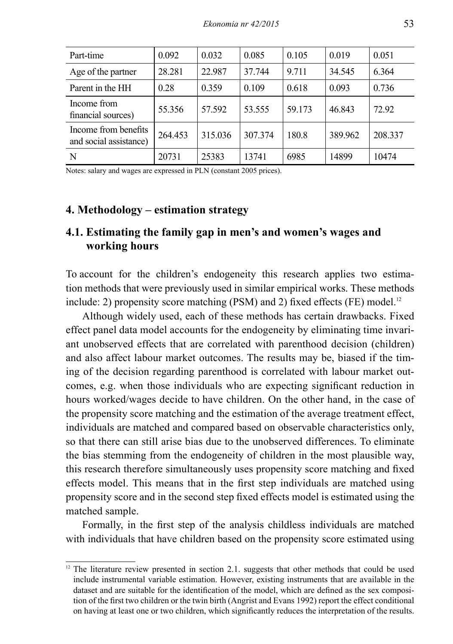| Part-time                                      | 0.092   | 0.032   | 0.085   | 0.105  | 0.019   | 0.051   |
|------------------------------------------------|---------|---------|---------|--------|---------|---------|
| Age of the partner                             | 28.281  | 22.987  | 37.744  | 9.711  | 34.545  | 6.364   |
| Parent in the HH                               | 0.28    | 0.359   | 0.109   | 0.618  | 0.093   | 0.736   |
| Income from<br>financial sources)              | 55.356  | 57.592  | 53.555  | 59.173 | 46.843  | 72.92   |
| Income from benefits<br>and social assistance) | 264.453 | 315.036 | 307.374 | 180.8  | 389.962 | 208.337 |
| N                                              | 20731   | 25383   | 13741   | 6985   | 14899   | 10474   |

Notes: salary and wages are expressed in PLN (constant 2005 prices).

#### **4. Methodology – estimation strategy**

# **4.1. Estimating the family gap in men's and women's wages and working hours**

To account for the children's endogeneity this research applies two estimation methods that were previously used in similar empirical works. These methods include: 2) propensity score matching (PSM) and 2) fixed effects (FE) model.<sup>12</sup>

Although widely used, each of these methods has certain drawbacks. Fixed effect panel data model accounts for the endogeneity by eliminating time invariant unobserved effects that are correlated with parenthood decision (children) and also affect labour market outcomes. The results may be, biased if the timing of the decision regarding parenthood is correlated with labour market outcomes, e.g. when those individuals who are expecting significant reduction in hours worked/wages decide to have children. On the other hand, in the case of the propensity score matching and the estimation of the average treatment effect, individuals are matched and compared based on observable characteristics only, so that there can still arise bias due to the unobserved differences. To eliminate the bias stemming from the endogeneity of children in the most plausible way, this research therefore simultaneously uses propensity score matching and fixed effects model. This means that in the first step individuals are matched using propensity score and in the second step fixed effects model is estimated using the matched sample.

Formally, in the first step of the analysis childless individuals are matched with individuals that have children based on the propensity score estimated using

 $12$  The literature review presented in section 2.1. suggests that other methods that could be used include instrumental variable estimation. However, existing instruments that are available in the dataset and are suitable for the identification of the model, which are defined as the sex composition of the first two children or the twin birth (Angrist and Evans 1992) report the effect conditional on having at least one or two children, which significantly reduces the interpretation of the results.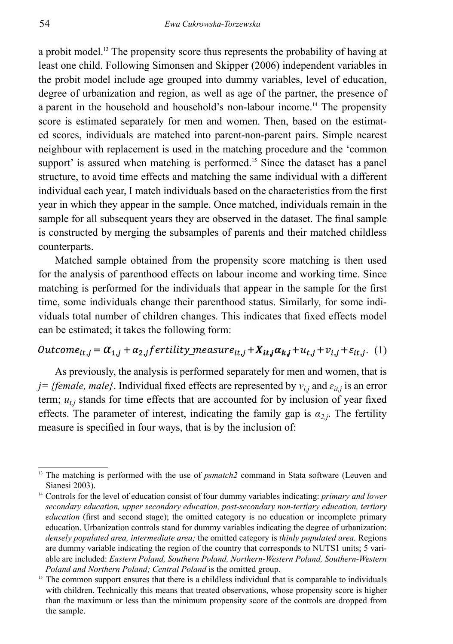a probit model.13 The propensity score thus represents the probability of having at least one child. Following Simonsen and Skipper (2006) independent variables in the probit model include age grouped into dummy variables, level of education, degree of urbanization and region, as well as age of the partner, the presence of a parent in the household and household's non-labour income.<sup>14</sup> The propensity score is estimated separately for men and women. Then, based on the estimated scores, individuals are matched into parent-non-parent pairs. Simple nearest neighbour with replacement is used in the matching procedure and the 'common support' is assured when matching is performed.<sup>15</sup> Since the dataset has a panel structure, to avoid time effects and matching the same individual with a different individual each year, I match individuals based on the characteristics from the first year in which they appear in the sample. Once matched, individuals remain in the sample for all subsequent years they are observed in the dataset. The final sample is constructed by merging the subsamples of parents and their matched childless counterparts.

Matched sample obtained from the propensity score matching is then used for the analysis of parenthood effects on labour income and working time. Since matching is performed for the individuals that appear in the sample for the first time, some individuals change their parenthood status. Similarly, for some individuals total number of children changes. This indicates that fixed effects model can be estimated; it takes the following form:

# Outcome<sub>it,j</sub> =  $\alpha_{1,j} + \alpha_{2,j}$  fertility\_measure<sub>it,j</sub> +  $X_{it,j} \alpha_{kj} + u_{t,j} + v_{i,j} + \varepsilon_{it,j}$ . (1)

As previously, the analysis is performed separately for men and women, that is *j* = {female, male}. Individual fixed effects are represented by  $v_{i,j}$  and  $\varepsilon_{it,j}$  is an error term;  $u_{t,i}$  stands for time effects that are accounted for by inclusion of year fixed effects. The parameter of interest, indicating the family gap is  $a_{2,i}$ . The fertility measure is specified in four ways, that is by the inclusion of:

<sup>&</sup>lt;sup>13</sup> The matching is performed with the use of *psmatch2* command in Stata software (Leuven and Sianesi 2003).

<sup>14</sup> Controls for the level of education consist of four dummy variables indicating: *primary and lower secondary education, upper secondary education, post-secondary non-tertiary education, tertiary education* (first and second stage); the omitted category is no education or incomplete primary education. Urbanization controls stand for dummy variables indicating the degree of urbanization: *densely populated area, intermediate area;* the omitted category is *thinly populated area.* Regions are dummy variable indicating the region of the country that corresponds to NUTS1 units; 5 variable are included: *Eastern Poland, Southern Poland, Northern-Western Poland, Southern-Western Poland and Northern Poland; Central Poland* is the omitted group.

<sup>&</sup>lt;sup>15</sup> The common support ensures that there is a childless individual that is comparable to individuals with children. Technically this means that treated observations, whose propensity score is higher than the maximum or less than the minimum propensity score of the controls are dropped from the sample.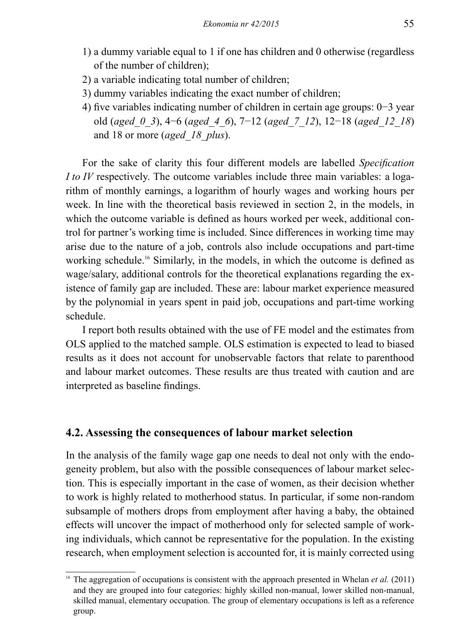- 1) a dummy variable equal to 1 if one has children and 0 otherwise (regardless of the number of children);
- 2) a variable indicating total number of children;
- 3) dummy variables indicating the exact number of children;
- 4) five variables indicating number of children in certain age groups: 0−3 year old (*aged\_0\_3*), 4−6 (*aged\_4\_6*), 7−12 (*aged\_7\_12*), 12−18 (*aged\_12\_18*) and 18 or more (*aged\_18\_plus*).

For the sake of clarity this four different models are labelled *Specification I to IV* respectively. The outcome variables include three main variables: a logarithm of monthly earnings, a logarithm of hourly wages and working hours per week. In line with the theoretical basis reviewed in section 2, in the models, in which the outcome variable is defined as hours worked per week, additional control for partner's working time is included. Since differences in working time may arise due to the nature of a job, controls also include occupations and part-time working schedule.<sup>16</sup> Similarly, in the models, in which the outcome is defined as wage/salary, additional controls for the theoretical explanations regarding the existence of family gap are included. These are: labour market experience measured by the polynomial in years spent in paid job, occupations and part-time working schedule.

I report both results obtained with the use of FE model and the estimates from OLS applied to the matched sample. OLS estimation is expected to lead to biased results as it does not account for unobservable factors that relate to parenthood and labour market outcomes. These results are thus treated with caution and are interpreted as baseline findings.

#### **4.2. Assessing the consequences of labour market selection**

In the analysis of the family wage gap one needs to deal not only with the endogeneity problem, but also with the possible consequences of labour market selection. This is especially important in the case of women, as their decision whether to work is highly related to motherhood status. In particular, if some non-random subsample of mothers drops from employment after having a baby, the obtained effects will uncover the impact of motherhood only for selected sample of working individuals, which cannot be representative for the population. In the existing research, when employment selection is accounted for, it is mainly corrected using

<sup>&</sup>lt;sup>16</sup> The aggregation of occupations is consistent with the approach presented in Whelan *et al.* (2011) and they are grouped into four categories: highly skilled non-manual, lower skilled non-manual, skilled manual, elementary occupation. The group of elementary occupations is left as a reference group.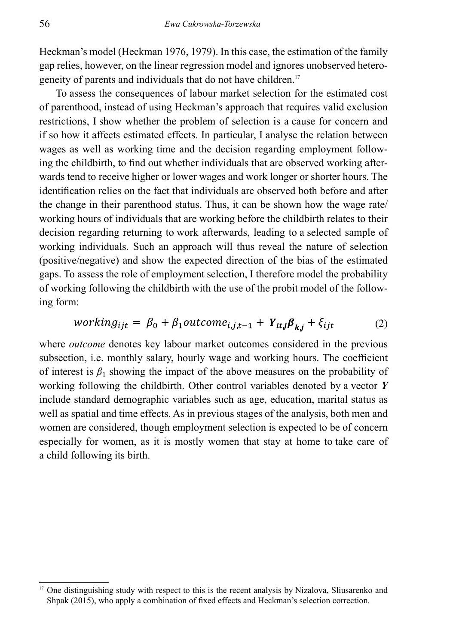Heckman's model (Heckman 1976, 1979). In this case, the estimation of the family gap relies, however, on the linear regression model and ignores unobserved heterogeneity of parents and individuals that do not have children.<sup>17</sup>

To assess the consequences of labour market selection for the estimated cost of parenthood, instead of using Heckman's approach that requires valid exclusion restrictions, I show whether the problem of selection is a cause for concern and if so how it affects estimated effects. In particular, I analyse the relation between wages as well as working time and the decision regarding employment following the childbirth, to find out whether individuals that are observed working afterwards tend to receive higher or lower wages and work longer or shorter hours. The identification relies on the fact that individuals are observed both before and after the change in their parenthood status. Thus, it can be shown how the wage rate/ working hours of individuals that are working before the childbirth relates to their decision regarding returning to work afterwards, leading to a selected sample of working individuals. Such an approach will thus reveal the nature of selection (positive/negative) and show the expected direction of the bias of the estimated gaps. To assess the role of employment selection, I therefore model the probability of working following the childbirth with the use of the probit model of the following form:

$$
working_{ijt} = \beta_0 + \beta_1 outcome_{i,j,t-1} + Y_{itj}\beta_{ki} + \xi_{ijt}
$$
 (2)

where *outcome* denotes key labour market outcomes considered in the previous subsection, i.e. monthly salary, hourly wage and working hours. The coefficient of interest is  $\beta_1$  showing the impact of the above measures on the probability of working following the childbirth. Other control variables denoted by a vector *Y* include standard demographic variables such as age, education, marital status as well as spatial and time effects. As in previous stages of the analysis, both men and women are considered, though employment selection is expected to be of concern especially for women, as it is mostly women that stay at home to take care of a child following its birth.

<sup>17</sup> One distinguishing study with respect to this is the recent analysis by Nizalova, Sliusarenko and Shpak (2015), who apply a combination of fixed effects and Heckman's selection correction.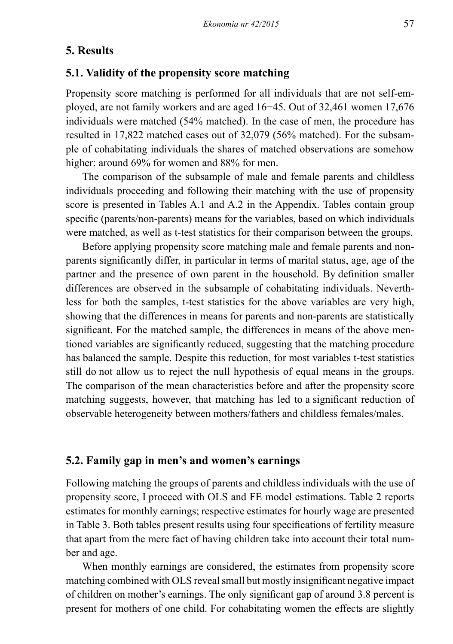### **5. Results**

#### **5.1. Validity of the propensity score matching**

Propensity score matching is performed for all individuals that are not self-employed, are not family workers and are aged 16−45. Out of 32,461 women 17,676 individuals were matched (54% matched). In the case of men, the procedure has resulted in 17,822 matched cases out of 32,079 (56% matched). For the subsample of cohabitating individuals the shares of matched observations are somehow higher: around 69% for women and 88% for men.

The comparison of the subsample of male and female parents and childless individuals proceeding and following their matching with the use of propensity score is presented in Tables A.1 and A.2 in the Appendix. Tables contain group specific (parents/non-parents) means for the variables, based on which individuals were matched, as well as t-test statistics for their comparison between the groups.

Before applying propensity score matching male and female parents and nonparents significantly differ, in particular in terms of marital status, age, age of the partner and the presence of own parent in the household. By definition smaller differences are observed in the subsample of cohabitating individuals. Neverthless for both the samples, t-test statistics for the above variables are very high, showing that the differences in means for parents and non-parents are statistically significant. For the matched sample, the differences in means of the above mentioned variables are significantly reduced, suggesting that the matching procedure has balanced the sample. Despite this reduction, for most variables t-test statistics still do not allow us to reject the null hypothesis of equal means in the groups. The comparison of the mean characteristics before and after the propensity score matching suggests, however, that matching has led to a significant reduction of observable heterogeneity between mothers/fathers and childless females/males.

# **5.2. Family gap in men's and women's earnings**

Following matching the groups of parents and childless individuals with the use of propensity score, I proceed with OLS and FE model estimations. Table 2 reports estimates for monthly earnings; respective estimates for hourly wage are presented in Table 3. Both tables present results using four specifications of fertility measure that apart from the mere fact of having children take into account their total number and age.

When monthly earnings are considered, the estimates from propensity score matching combined with OLS reveal small but mostly insignificant negative impact of children on mother's earnings. The only significant gap of around 3.8 percent is present for mothers of one child. For cohabitating women the effects are slightly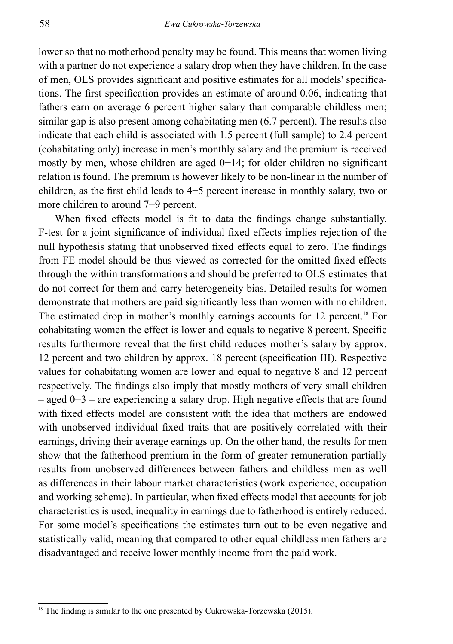lower so that no motherhood penalty may be found. This means that women living with a partner do not experience a salary drop when they have children. In the case of men, OLS provides significant and positive estimates for all models' specifications. The first specification provides an estimate of around 0.06, indicating that fathers earn on average 6 percent higher salary than comparable childless men; similar gap is also present among cohabitating men (6.7 percent). The results also indicate that each child is associated with 1.5 percent (full sample) to 2.4 percent (cohabitating only) increase in men's monthly salary and the premium is received mostly by men, whose children are aged 0−14; for older children no significant relation is found. The premium is however likely to be non-linear in the number of children, as the first child leads to 4−5 percent increase in monthly salary, two or more children to around 7−9 percent.

When fixed effects model is fit to data the findings change substantially. F-test for a joint significance of individual fixed effects implies rejection of the null hypothesis stating that unobserved fixed effects equal to zero. The findings from FE model should be thus viewed as corrected for the omitted fixed effects through the within transformations and should be preferred to OLS estimates that do not correct for them and carry heterogeneity bias. Detailed results for women demonstrate that mothers are paid significantly less than women with no children. The estimated drop in mother's monthly earnings accounts for 12 percent.<sup>18</sup> For cohabitating women the effect is lower and equals to negative 8 percent. Specific results furthermore reveal that the first child reduces mother's salary by approx. 12 percent and two children by approx. 18 percent (specification III). Respective values for cohabitating women are lower and equal to negative 8 and 12 percent respectively. The findings also imply that mostly mothers of very small children – aged 0−3 – are experiencing a salary drop. High negative effects that are found with fixed effects model are consistent with the idea that mothers are endowed with unobserved individual fixed traits that are positively correlated with their earnings, driving their average earnings up. On the other hand, the results for men show that the fatherhood premium in the form of greater remuneration partially results from unobserved differences between fathers and childless men as well as differences in their labour market characteristics (work experience, occupation and working scheme). In particular, when fixed effects model that accounts for job characteristics is used, inequality in earnings due to fatherhood is entirely reduced. For some model's specifications the estimates turn out to be even negative and statistically valid, meaning that compared to other equal childless men fathers are disadvantaged and receive lower monthly income from the paid work.

 $18$  The finding is similar to the one presented by Cukrowska-Torzewska (2015).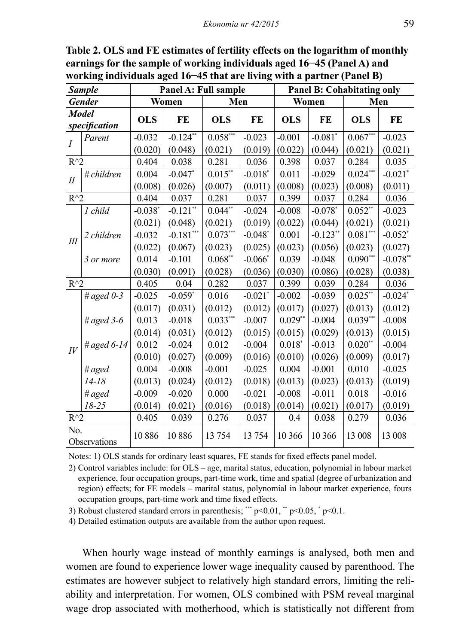|                | <b>Sample</b>                 |            | Panel A: Full sample |            |                       |            | <b>Panel B: Cohabitating only</b> |            |                       |  |
|----------------|-------------------------------|------------|----------------------|------------|-----------------------|------------|-----------------------------------|------------|-----------------------|--|
|                | <b>Gender</b>                 |            | Women                | Men        |                       |            | Women                             |            | Men                   |  |
|                | <b>Model</b><br>specification | <b>OLS</b> | FE                   | <b>OLS</b> | FE                    | <b>OLS</b> | FE                                | <b>OLS</b> | FE                    |  |
| $\overline{I}$ | Parent                        | $-0.032$   | $-0.124**$           | $0.058***$ | $-0.023$              | $-0.001$   | $-0.081$ *                        | $0.067***$ | $-0.023$              |  |
|                |                               | (0.020)    | (0.048)              | (0.021)    | (0.019)               | (0.022)    | (0.044)                           | (0.021)    | (0.021)               |  |
| $R^{\wedge}2$  |                               | 0.404      | 0.038                | 0.281      | 0.036                 | 0.398      | 0.037                             | 0.284      | 0.035                 |  |
| $I\!I$         | # children                    | 0.004      | $-0.047*$            | $0.015**$  | $-0.018*$             | 0.011      | $-0.029$                          | $0.024***$ | $-0.021$ <sup>*</sup> |  |
|                |                               | (0.008)    | (0.026)              | (0.007)    | (0.011)               | (0.008)    | (0.023)                           | (0.008)    | (0.011)               |  |
| $R^{\wedge}2$  |                               | 0.404      | 0.037                | 0.281      | 0.037                 | 0.399      | 0.037                             | 0.284      | 0.036                 |  |
|                | 1 child                       | $-0.038*$  | $-0.121**$           | $0.044**$  | $-0.024$              | $-0.008$   | $-0.078*$                         | $0.052**$  | $-0.023$              |  |
|                |                               | (0.021)    | (0.048)              | (0.021)    | (0.019)               | (0.022)    | (0.044)                           | (0.021)    | (0.021)               |  |
| III            | 2 children                    | $-0.032$   | $-0.181***$          | $0.073***$ | $-0.048*$             | 0.001      | $-0.123**$                        | $0.081***$ | $-0.052$ *            |  |
|                |                               | (0.022)    | (0.067)              | (0.023)    | (0.025)               | (0.023)    | (0.056)                           | (0.023)    | (0.027)               |  |
|                | 3 or more                     | 0.014      | $-0.101$             | $0.068**$  | $-0.066*$             | 0.039      | $-0.048$                          | $0.090***$ | $-0.078**$            |  |
|                |                               | (0.030)    | (0.091)              | (0.028)    | (0.036)               | (0.030)    | (0.086)                           | (0.028)    | (0.038)               |  |
| $R^{\wedge}2$  |                               | 0.405      | 0.04                 | 0.282      | 0.037                 | 0.399      | 0.039                             | 0.284      | 0.036                 |  |
|                | # aged $0-3$                  | $-0.025$   | $-0.059*$            | 0.016      | $-0.021$ <sup>*</sup> | $-0.002$   | $-0.039$                          | $0.025$ ** | $-0.024$ *            |  |
|                |                               | (0.017)    | (0.031)              | (0.012)    | (0.012)               | (0.017)    | (0.027)                           | (0.013)    | (0.012)               |  |
|                | # aged $3-6$                  | 0.013      | $-0.018$             | $0.033***$ | $-0.007$              | $0.029**$  | $-0.004$                          | $0.039***$ | $-0.008$              |  |
|                |                               | (0.014)    | (0.031)              | (0.012)    | (0.015)               | (0.015)    | (0.029)                           | (0.013)    | (0.015)               |  |
| $I\bar{V}$     | # aged $6-14$                 | 0.012      | $-0.024$             | 0.012      | $-0.004$              | $0.018*$   | $-0.013$                          | $0.020**$  | $-0.004$              |  |
|                |                               | (0.010)    | (0.027)              | (0.009)    | (0.016)               | (0.010)    | (0.026)                           | (0.009)    | (0.017)               |  |
|                | # $aged$                      | 0.004      | $-0.008$             | $-0.001$   | $-0.025$              | 0.004      | $-0.001$                          | 0.010      | $-0.025$              |  |
|                | $14 - 18$                     | (0.013)    | (0.024)              | (0.012)    | (0.018)               | (0.013)    | (0.023)                           | (0.013)    | (0.019)               |  |
|                | # $aged$                      | $-0.009$   | $-0.020$             | 0.000      | $-0.021$              | $-0.008$   | $-0.011$                          | 0.018      | $-0.016$              |  |
|                | $18 - 25$                     | (0.014)    | (0.021)              | (0.016)    | (0.018)               | (0.014)    | (0.021)                           | (0.017)    | (0.019)               |  |
| $R^{\wedge}2$  |                               | 0.405      | 0.039                | 0.276      | 0.037                 | 0.4        | 0.038                             | 0.279      | 0.036                 |  |
| No.            | Observations                  | 10886      | 10886                | 13 754     | 13 7 54               | 10 366     | 10 366                            | 13 008     | 13 008                |  |

**Table 2. OLS and FE estimates of fertility effects on the logarithm of monthly earnings for the sample of working individuals aged 16−45 (Panel A) and working individuals aged 16−45 that are living with a partner (Panel B)** 

Notes: 1) OLS stands for ordinary least squares, FE stands for fixed effects panel model.

2) Control variables include: for OLS – age, marital status, education, polynomial in labour market experience, four occupation groups, part-time work, time and spatial (degree of urbanization and region) effects; for FE models – marital status, polynomial in labour market experience, fours occupation groups, part-time work and time fixed effects.

3) Robust clustered standard errors in parenthesis; \*\*\*  $p \le 0.01$ , \*\*  $p \le 0.05$ , \*  $p \le 0.1$ .

4) Detailed estimation outputs are available from the author upon request.

When hourly wage instead of monthly earnings is analysed, both men and women are found to experience lower wage inequality caused by parenthood. The estimates are however subject to relatively high standard errors, limiting the reliability and interpretation. For women, OLS combined with PSM reveal marginal wage drop associated with motherhood, which is statistically not different from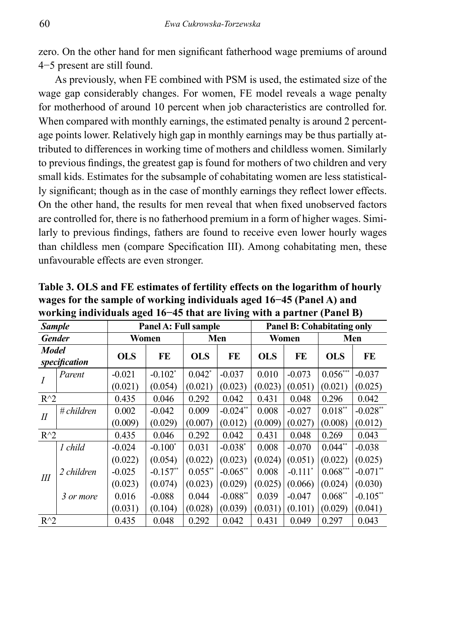zero. On the other hand for men significant fatherhood wage premiums of around 4−5 present are still found.

As previously, when FE combined with PSM is used, the estimated size of the wage gap considerably changes. For women, FE model reveals a wage penalty for motherhood of around 10 percent when job characteristics are controlled for. When compared with monthly earnings, the estimated penalty is around 2 percentage points lower. Relatively high gap in monthly earnings may be thus partially attributed to differences in working time of mothers and childless women. Similarly to previous findings, the greatest gap is found for mothers of two children and very small kids. Estimates for the subsample of cohabitating women are less statistically significant; though as in the case of monthly earnings they reflect lower effects. On the other hand, the results for men reveal that when fixed unobserved factors are controlled for, there is no fatherhood premium in a form of higher wages. Similarly to previous findings, fathers are found to receive even lower hourly wages than childless men (compare Specification III). Among cohabitating men, these unfavourable effects are even stronger.

| <b>Sample</b>          |                      |            | Panel A: Full sample  |            |             | <b>Panel B: Cohabitating only</b> |                       |            |             |  |
|------------------------|----------------------|------------|-----------------------|------------|-------------|-----------------------------------|-----------------------|------------|-------------|--|
| <b>Gender</b>          |                      |            | Women                 |            | Men         | Women                             |                       | Men        |             |  |
| Model<br>specification |                      | <b>OLS</b> | FE                    | <b>OLS</b> | FE          | <b>OLS</b>                        | FE                    | <b>OLS</b> | FE          |  |
|                        | Parent               | $-0.021$   | $-0.102$ <sup>*</sup> | $0.042$ *  | $-0.037$    | 0.010                             | $-0.073$              | $0.056***$ | $-0.037$    |  |
|                        |                      | (0.021)    | (0.054)               | (0.021)    | (0.023)     | (0.023)                           | (0.051)               | (0.021)    | (0.025)     |  |
| $R^{\wedge}2$          |                      | 0.435      | 0.046                 | 0.292      | 0.042       | 0.431                             | 0.048                 | 0.296      | 0.042       |  |
| $I\!I$                 | $\#$ <i>children</i> | 0.002      | $-0.042$              | 0.009      | $-0.024**$  | 0.008                             | $-0.027$              | $0.018**$  | $-0.028**$  |  |
|                        |                      | (0.009)    | (0.029)               | (0.007)    | (0.012)     | (0.009)                           | (0.027)               | (0.008)    | (0.012)     |  |
| $R^{\wedge}2$          |                      | 0.435      | 0.046                 | 0.292      | 0.042       | 0.431                             | 0.048                 | 0.269      | 0.043       |  |
|                        | 1 child              | $-0.024$   | $-0.100*$             | 0.031      | $-0.038*$   | 0.008                             | $-0.070$              | $0.044**$  | $-0.038$    |  |
|                        |                      | (0.022)    | (0.054)               | (0.022)    | (0.023)     | (0.024)                           | (0.051)               | (0.022)    | (0.025)     |  |
| III                    | 2 children           | $-0.025$   | $-0.157$ **           | $0.055$ ** | $-0.065$ ** | 0.008                             | $-0.111$ <sup>*</sup> | $0.068$ ** | $-0.071**$  |  |
|                        |                      | (0.023)    | (0.074)               | (0.023)    | (0.029)     | (0.025)                           | (0.066)               | (0.024)    | (0.030)     |  |
|                        | 3 or more            | 0.016      | $-0.088$              | 0.044      | $-0.088$ ** | 0.039                             | $-0.047$              | $0.068$ ** | $-0.105$ ** |  |
|                        |                      | (0.031)    | (0.104)               | (0.028)    | (0.039)     | (0.031)                           | (0.101)               | (0.029)    | (0.041)     |  |
| $R^{\wedge}2$          |                      | 0.435      | 0.048                 | 0.292      | 0.042       | 0.431                             | 0.049                 | 0.297      | 0.043       |  |

**Table 3. OLS and FE estimates of fertility effects on the logarithm of hourly wages for the sample of working individuals aged 16−45 (Panel A) and working individuals aged 16−45 that are living with a partner (Panel B)**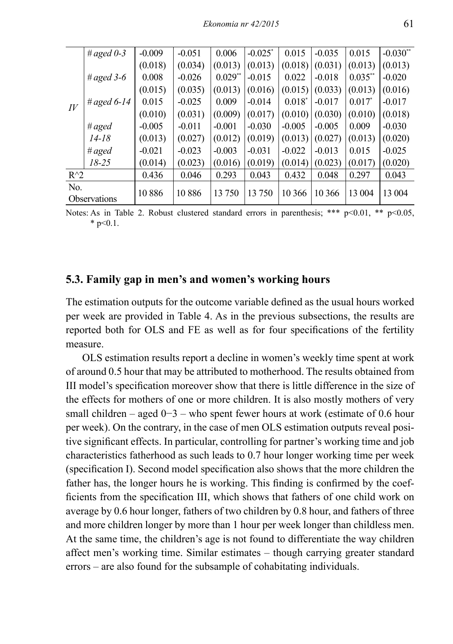|                    | # aged $0-3$        | $-0.009$ | $-0.051$ | 0.006     | $-0.025$ * | 0.015     | $-0.035$ | 0.015      | $-0.030**$ |
|--------------------|---------------------|----------|----------|-----------|------------|-----------|----------|------------|------------|
|                    |                     | (0.018)  | (0.034)  | (0.013)   | (0.013)    | (0.018)   | (0.031)  | (0.013)    | (0.013)    |
|                    | # aged $3-6$        | 0.008    | $-0.026$ | $0.029**$ | $-0.015$   | 0.022     | $-0.018$ | $0.035$ ** | $-0.020$   |
|                    |                     | (0.015)  | (0.035)  | (0.013)   | (0.016)    | (0.015)   | (0.033)  | (0.013)    | (0.016)    |
| $I\hspace{-.1em}V$ | # aged $6-14$       | 0.015    | $-0.025$ | 0.009     | $-0.014$   | $0.018^*$ | $-0.017$ | $0.017^*$  | $-0.017$   |
|                    |                     | (0.010)  | (0.031)  | (0.009)   | (0.017)    | (0.010)   | (0.030)  | (0.010)    | (0.018)    |
|                    | # aged              | $-0.005$ | $-0.011$ | $-0.001$  | $-0.030$   | $-0.005$  | $-0.005$ | 0.009      | $-0.030$   |
|                    | $14 - 18$           | (0.013)  | (0.027)  | (0.012)   | (0.019)    | (0.013)   | (0.027)  | (0.013)    | (0.020)    |
|                    | # $aged$            | $-0.021$ | $-0.023$ | $-0.003$  | $-0.031$   | $-0.022$  | $-0.013$ | 0.015      | $-0.025$   |
|                    | $18 - 25$           | (0.014)  | (0.023)  | (0.016)   | (0.019)    | (0.014)   | (0.023)  | (0.017)    | (0.020)    |
| $R^{\wedge}2$      |                     | 0.436    | 0.046    | 0.293     | 0.043      | 0.432     | 0.048    | 0.297      | 0.043      |
| N <sub>0</sub>     |                     | 10886    | 10886    | 13 750    | 13 750     | 10 366    | 10 366   | 13 004     | 13 004     |
|                    | <b>Observations</b> |          |          |           |            |           |          |            |            |

Notes: As in Table 2. Robust clustered standard errors in parenthesis; \*\*\* p<0.01, \*\* p<0.05,  $*$  p<0.1.

### **5.3. Family gap in men's and women's working hours**

The estimation outputs for the outcome variable defined as the usual hours worked per week are provided in Table 4. As in the previous subsections, the results are reported both for OLS and FE as well as for four specifications of the fertility measure.

OLS estimation results report a decline in women's weekly time spent at work of around 0.5 hour that may be attributed to motherhood. The results obtained from III model's specification moreover show that there is little difference in the size of the effects for mothers of one or more children. It is also mostly mothers of very small children – aged  $0-3$  – who spent fewer hours at work (estimate of 0.6 hour per week). On the contrary, in the case of men OLS estimation outputs reveal positive significant effects. In particular, controlling for partner's working time and job characteristics fatherhood as such leads to 0.7 hour longer working time per week (specification I). Second model specification also shows that the more children the father has, the longer hours he is working. This finding is confirmed by the coefficients from the specification III, which shows that fathers of one child work on average by 0.6 hour longer, fathers of two children by 0.8 hour, and fathers of three and more children longer by more than 1 hour per week longer than childless men. At the same time, the children's age is not found to differentiate the way children affect men's working time. Similar estimates – though carrying greater standard errors – are also found for the subsample of cohabitating individuals.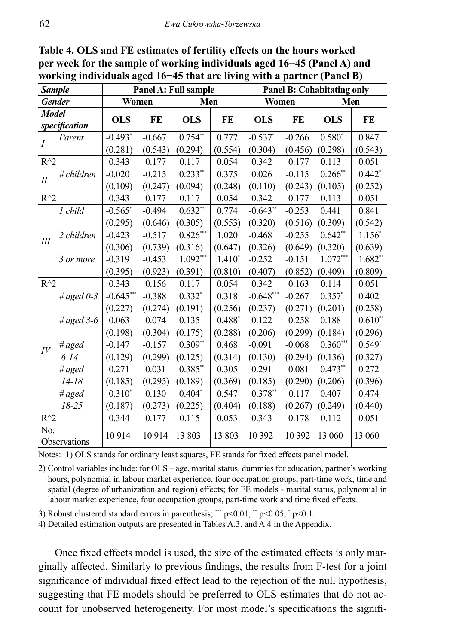| <b>Sample</b>      |               |                  |                     | Panel A: Full sample |                  |                       |                     | <b>Panel B: Cohabitating only</b> |                  |
|--------------------|---------------|------------------|---------------------|----------------------|------------------|-----------------------|---------------------|-----------------------------------|------------------|
| <b>Gender</b>      |               | Women            |                     | Men                  |                  | Women                 |                     | Men                               |                  |
| <b>Model</b>       | specification | <b>OLS</b>       | FE                  | <b>OLS</b>           | FE               | <b>OLS</b>            | FE                  | <b>OLS</b>                        | FE               |
| $\overline{I}$     | Parent        | $-0.493*$        | $-0.667$<br>(0.543) | $0.754**$<br>(0.294) | 0.777<br>(0.554) | $-0.537$ *<br>(0.304) | $-0.266$<br>(0.456) | $0.580*$<br>(0.298)               | 0.847            |
| $R^{\wedge}2$      |               | (0.281)<br>0.343 | 0.177               | 0.117                | 0.054            | 0.342                 | 0.177               | 0.113                             | (0.543)<br>0.051 |
| $I\!I$             | # children    | $-0.020$         | $-0.215$            | $0.233**$            | 0.375            | 0.026                 | $-0.115$            | $0.266$ **                        | $0.442*$         |
|                    |               | (0.109)          | (0.247)             | (0.094)              | (0.248)          | (0.110)               | (0.243)             | (0.105)                           | (0.252)          |
| $R^{\wedge}2$      |               | 0.343            | 0.177               | 0.117                | 0.054            | 0.342                 | 0.177               | 0.113                             | 0.051            |
|                    | 1 child       | $-0.565$ *       | $-0.494$            | $0.632**$            | 0.774            | $-0.643**$            | $-0.253$            | 0.441                             | 0.841            |
|                    |               | (0.295)          | (0.646)             | (0.305)              | (0.553)          | (0.320)               | (0.516)             | (0.309)                           | (0.542)          |
| $I\!I\!I$          | 2 children    | $-0.423$         | $-0.517$            | $0.826***$           | 1.020            | $-0.468$              | $-0.255$            | $0.642**$                         | $1.156*$         |
|                    |               | (0.306)          | (0.739)             | (0.316)              | (0.647)          | (0.326)               | (0.649)             | (0.320)                           | (0.639)          |
|                    | 3 or more     | $-0.319$         | $-0.453$            | $1.092***$           | $1.410*$         | $-0.252$              | $-0.151$            | $1.072***$                        | $1.682**$        |
|                    |               | (0.395)          | (0.923)             | (0.391)              | (0.810)          | (0.407)               | (0.852)             | (0.409)                           | (0.809)          |
| $R^{\wedge}2$      |               | 0.343            | 0.156               | 0.117                | 0.054            | 0.342                 | 0.163               | 0.114                             | 0.051            |
|                    | # aged $0-3$  | $-0.645***$      | $-0.388$            | $0.332*$             | 0.318            | $-0.648***$           | $-0.267$            | $0.357*$                          | 0.402            |
|                    |               | (0.227)          | (0.274)             | (0.191)              | (0.256)          | (0.237)               | (0.271)             | (0.201)                           | (0.258)          |
|                    | # aged $3-6$  | 0.063            | 0.074               | 0.135                | $0.488*$         | 0.122                 | 0.258               | 0.188                             | $0.610**$        |
|                    |               | (0.198)          | (0.304)             | (0.175)              | (0.288)          | (0.206)               | (0.299)             | (0.184)                           | (0.296)          |
| $I\hspace{-.1em}V$ | # $aged$      | $-0.147$         | $-0.157$            | $0.309**$            | 0.468            | $-0.091$              | $-0.068$            | $0.360***$                        | $0.549*$         |
|                    | $6 - 14$      | (0.129)          | (0.299)             | (0.125)              | (0.314)          | (0.130)               | (0.294)             | (0.136)                           | (0.327)          |
|                    | # $aged$      | 0.271            | 0.031               | $0.385**$            | 0.305            | 0.291                 | 0.081               | $0.473**$                         | 0.272            |
|                    | $14 - 18$     | (0.185)          | (0.295)             | (0.189)              | (0.369)          | (0.185)               | (0.290)             | (0.206)                           | (0.396)          |
|                    | # $aged$      | $0.310*$         | 0.130               | $0.404*$             | 0.547            | $0.378**$             | 0.117               | 0.407                             | 0.474            |
|                    | $18 - 25$     | (0.187)          | (0.273)             | (0.225)              | (0.404)          | (0.188)               | (0.267)             | (0.249)                           | (0.440)          |
| $R^{\wedge}2$      |               | 0.344            | 0.177               | 0.115                | 0.053            | 0.343                 | 0.178               | 0.112                             | 0.051            |
| No.                | Observations  | 10914            | 10914               | 13 803               | 13 803           | 10 392                | 10 392              | 13 060                            | 13 060           |

**Table 4. OLS and FE estimates of fertility effects on the hours worked per week for the sample of working individuals aged 16−45 (Panel A) and working individuals aged 16−45 that are living with a partner (Panel B)**

Notes: 1) OLS stands for ordinary least squares, FE stands for fixed effects panel model.

2) Control variables include: for OLS – age, marital status, dummies for education, partner's working hours, polynomial in labour market experience, four occupation groups, part-time work, time and spatial (degree of urbanization and region) effects; for FE models - marital status, polynomial in labour market experience, four occupation groups, part-time work and time fixed effects.

3) Robust clustered standard errors in parenthesis; \*\*\*  $p \le 0.01$ , \*\*  $p \le 0.05$ , \*  $p \le 0.1$ .

4) Detailed estimation outputs are presented in Tables A.3. and A.4 in the Appendix.

Once fixed effects model is used, the size of the estimated effects is only marginally affected. Similarly to previous findings, the results from F-test for a joint significance of individual fixed effect lead to the rejection of the null hypothesis, suggesting that FE models should be preferred to OLS estimates that do not account for unobserved heterogeneity. For most model's specifications the signifi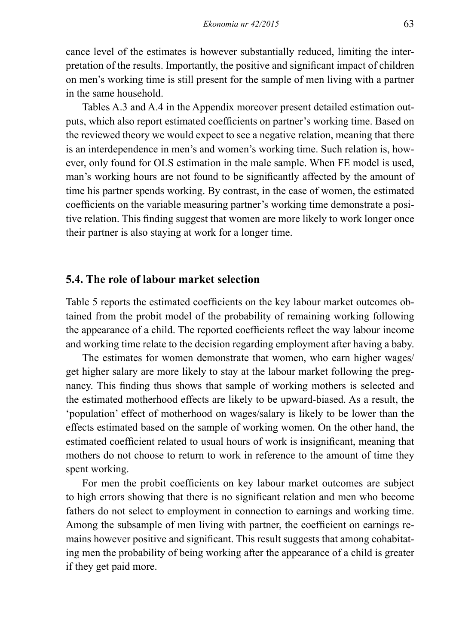cance level of the estimates is however substantially reduced, limiting the interpretation of the results. Importantly, the positive and significant impact of children on men's working time is still present for the sample of men living with a partner in the same household.

Tables A.3 and A.4 in the Appendix moreover present detailed estimation outputs, which also report estimated coefficients on partner's working time. Based on the reviewed theory we would expect to see a negative relation, meaning that there is an interdependence in men's and women's working time. Such relation is, however, only found for OLS estimation in the male sample. When FE model is used, man's working hours are not found to be significantly affected by the amount of time his partner spends working. By contrast, in the case of women, the estimated coefficients on the variable measuring partner's working time demonstrate a positive relation. This finding suggest that women are more likely to work longer once their partner is also staying at work for a longer time.

#### **5.4. The role of labour market selection**

Table 5 reports the estimated coefficients on the key labour market outcomes obtained from the probit model of the probability of remaining working following the appearance of a child. The reported coefficients reflect the way labour income and working time relate to the decision regarding employment after having a baby.

The estimates for women demonstrate that women, who earn higher wages/ get higher salary are more likely to stay at the labour market following the pregnancy. This finding thus shows that sample of working mothers is selected and the estimated motherhood effects are likely to be upward-biased. As a result, the 'population' effect of motherhood on wages/salary is likely to be lower than the effects estimated based on the sample of working women. On the other hand, the estimated coefficient related to usual hours of work is insignificant, meaning that mothers do not choose to return to work in reference to the amount of time they spent working.

For men the probit coefficients on key labour market outcomes are subject to high errors showing that there is no significant relation and men who become fathers do not select to employment in connection to earnings and working time. Among the subsample of men living with partner, the coefficient on earnings remains however positive and significant. This result suggests that among cohabitating men the probability of being working after the appearance of a child is greater if they get paid more.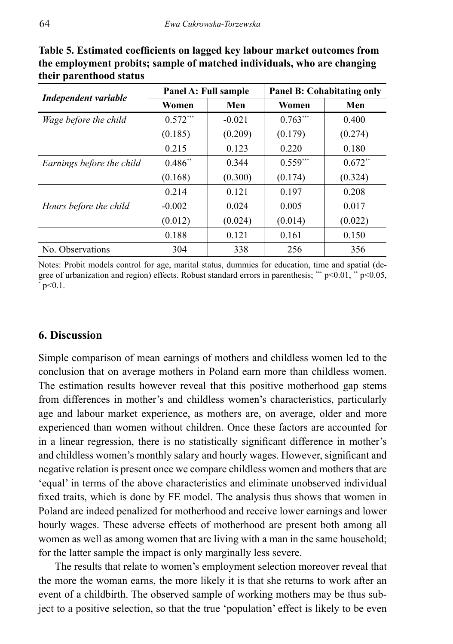|                           | Panel A: Full sample |          |            | <b>Panel B: Cohabitating only</b> |
|---------------------------|----------------------|----------|------------|-----------------------------------|
| Independent variable      | Women                | Men      | Women      | Men                               |
| Wage before the child     | $0.572***$           | $-0.021$ | $0.763***$ | 0.400                             |
|                           | (0.185)              | (0.209)  | (0.179)    | (0.274)                           |
|                           | 0.215                | 0.123    | 0.220      | 0.180                             |
| Earnings before the child | $0.486**$            | 0.344    | $0.559***$ | $0.672**$                         |
|                           | (0.168)              | (0.300)  | (0.174)    | (0.324)                           |
|                           | 0.214                | 0.121    | 0.197      | 0.208                             |
| Hours before the child    | $-0.002$             | 0.024    | 0.005      | 0.017                             |
|                           | (0.012)              | (0.024)  | (0.014)    | (0.022)                           |
|                           | 0.188                | 0.121    | 0.161      | 0.150                             |
| No. Observations          | 304                  | 338      | 256        | 356                               |

**Table 5. Estimated coefficients on lagged key labour market outcomes from the employment probits; sample of matched individuals, who are changing their parenthood status**

Notes: Probit models control for age, marital status, dummies for education, time and spatial (degree of urbanization and region) effects. Robust standard errors in parenthesis; \*\*\*  $p$  <0.01, \*\*  $p$  <0.05, \* p<0.1.

# **6. Discussion**

Simple comparison of mean earnings of mothers and childless women led to the conclusion that on average mothers in Poland earn more than childless women. The estimation results however reveal that this positive motherhood gap stems from differences in mother's and childless women's characteristics, particularly age and labour market experience, as mothers are, on average, older and more experienced than women without children. Once these factors are accounted for in a linear regression, there is no statistically significant difference in mother's and childless women's monthly salary and hourly wages. However, significant and negative relation is present once we compare childless women and mothers that are 'equal' in terms of the above characteristics and eliminate unobserved individual fixed traits, which is done by FE model. The analysis thus shows that women in Poland are indeed penalized for motherhood and receive lower earnings and lower hourly wages. These adverse effects of motherhood are present both among all women as well as among women that are living with a man in the same household; for the latter sample the impact is only marginally less severe.

The results that relate to women's employment selection moreover reveal that the more the woman earns, the more likely it is that she returns to work after an event of a childbirth. The observed sample of working mothers may be thus subject to a positive selection, so that the true 'population' effect is likely to be even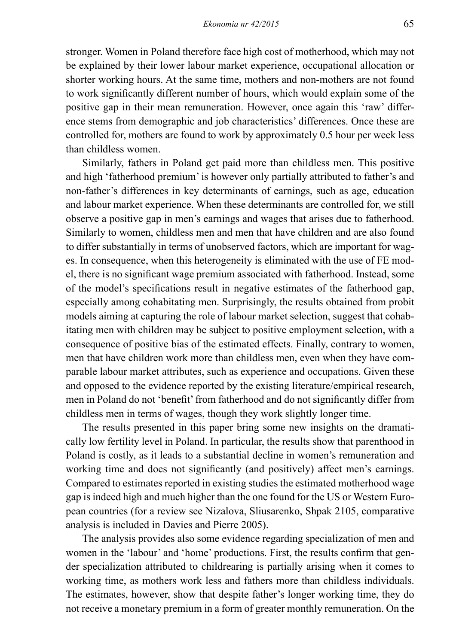stronger. Women in Poland therefore face high cost of motherhood, which may not be explained by their lower labour market experience, occupational allocation or shorter working hours. At the same time, mothers and non-mothers are not found to work significantly different number of hours, which would explain some of the positive gap in their mean remuneration. However, once again this 'raw' difference stems from demographic and job characteristics' differences. Once these are controlled for, mothers are found to work by approximately 0.5 hour per week less than childless women.

Similarly, fathers in Poland get paid more than childless men. This positive and high 'fatherhood premium' is however only partially attributed to father's and non-father's differences in key determinants of earnings, such as age, education and labour market experience. When these determinants are controlled for, we still observe a positive gap in men's earnings and wages that arises due to fatherhood. Similarly to women, childless men and men that have children and are also found to differ substantially in terms of unobserved factors, which are important for wages. In consequence, when this heterogeneity is eliminated with the use of FE model, there is no significant wage premium associated with fatherhood. Instead, some of the model's specifications result in negative estimates of the fatherhood gap, especially among cohabitating men. Surprisingly, the results obtained from probit models aiming at capturing the role of labour market selection, suggest that cohabitating men with children may be subject to positive employment selection, with a consequence of positive bias of the estimated effects. Finally, contrary to women, men that have children work more than childless men, even when they have comparable labour market attributes, such as experience and occupations. Given these and opposed to the evidence reported by the existing literature/empirical research, men in Poland do not 'benefit' from fatherhood and do not significantly differ from childless men in terms of wages, though they work slightly longer time.

The results presented in this paper bring some new insights on the dramatically low fertility level in Poland. In particular, the results show that parenthood in Poland is costly, as it leads to a substantial decline in women's remuneration and working time and does not significantly (and positively) affect men's earnings. Compared to estimates reported in existing studies the estimated motherhood wage gap is indeed high and much higher than the one found for the US or Western European countries (for a review see Nizalova, Sliusarenko, Shpak 2105, comparative analysis is included in Davies and Pierre 2005).

The analysis provides also some evidence regarding specialization of men and women in the 'labour' and 'home' productions. First, the results confirm that gender specialization attributed to childrearing is partially arising when it comes to working time, as mothers work less and fathers more than childless individuals. The estimates, however, show that despite father's longer working time, they do not receive a monetary premium in a form of greater monthly remuneration. On the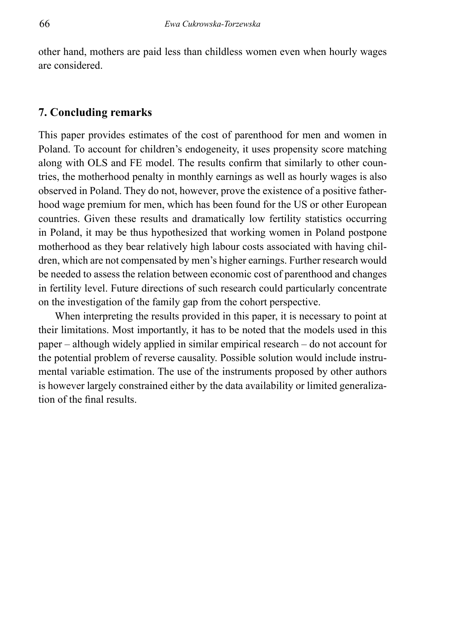other hand, mothers are paid less than childless women even when hourly wages are considered.

### **7. Concluding remarks**

This paper provides estimates of the cost of parenthood for men and women in Poland. To account for children's endogeneity, it uses propensity score matching along with OLS and FE model. The results confirm that similarly to other countries, the motherhood penalty in monthly earnings as well as hourly wages is also observed in Poland. They do not, however, prove the existence of a positive fatherhood wage premium for men, which has been found for the US or other European countries. Given these results and dramatically low fertility statistics occurring in Poland, it may be thus hypothesized that working women in Poland postpone motherhood as they bear relatively high labour costs associated with having children, which are not compensated by men's higher earnings. Further research would be needed to assess the relation between economic cost of parenthood and changes in fertility level. Future directions of such research could particularly concentrate on the investigation of the family gap from the cohort perspective.

When interpreting the results provided in this paper, it is necessary to point at their limitations. Most importantly, it has to be noted that the models used in this paper – although widely applied in similar empirical research – do not account for the potential problem of reverse causality. Possible solution would include instrumental variable estimation. The use of the instruments proposed by other authors is however largely constrained either by the data availability or limited generalization of the final results.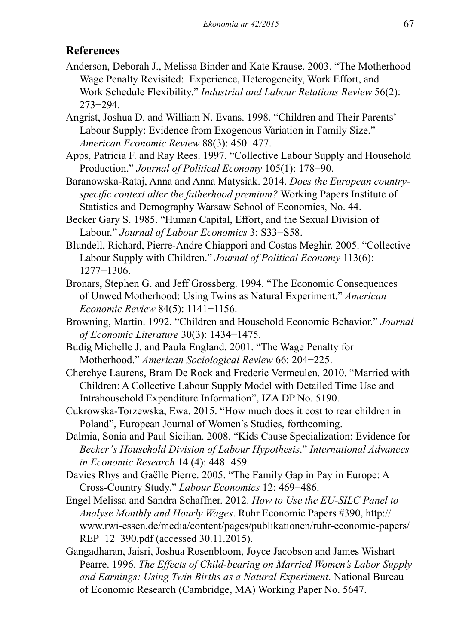# **References**

- Anderson, Deborah J., Melissa Binder and Kate Krause. 2003. "The Motherhood Wage Penalty Revisited: Experience, Heterogeneity, Work Effort, and Work Schedule Flexibility." *Industrial and Labour Relations Review* 56(2): 273−294.
- Angrist, Joshua D. and William N. Evans. 1998. "Children and Their Parents' Labour Supply: Evidence from Exogenous Variation in Family Size." *American Economic Review* 88(3): 450−477.
- Apps, Patricia F. and Ray Rees. 1997. "Collective Labour Supply and Household Production." *Journal of Political Economy* 105(1): 178−90.
- Baranowska-Rataj, Anna and Anna Matysiak. 2014. *Does the European countryspecific context alter the fatherhood premium?* Working Papers Institute of Statistics and Demography Warsaw School of Economics, No. 44.
- Becker Gary S. 1985. "Human Capital, Effort, and the Sexual Division of Labour." *Journal of Labour Economics* 3: S33−S58.
- Blundell, Richard, Pierre-Andre Chiappori and Costas Meghir. 2005. "Collective Labour Supply with Children." *Journal of Political Economy* 113(6): 1277−1306.
- Bronars, Stephen G. and Jeff Grossberg. 1994. "The Economic Consequences of Unwed Motherhood: Using Twins as Natural Experiment." *American Economic Review* 84(5): 1141−1156.
- Browning, Martin. 1992. "Children and Household Economic Behavior." *Journal of Economic Literature* 30(3): 1434−1475.
- Budig Michelle J. and Paula England. 2001. "The Wage Penalty for Motherhood." *American Sociological Review* 66: 204−225.
- Cherchye Laurens, Bram De Rock and Frederic Vermeulen. 2010. "Married with Children: A Collective Labour Supply Model with Detailed Time Use and Intrahousehold Expenditure Information", IZA DP No. 5190.
- Cukrowska-Torzewska, Ewa. 2015. "How much does it cost to rear children in Poland", European Journal of Women's Studies, forthcoming.
- Dalmia, Sonia and Paul Sicilian. 2008. "Kids Cause Specialization: Evidence for *Becker's Household Division of Labour Hypothesis*." *International Advances in Economic Research* 14 (4): 448−459.
- Davies Rhys and Gaëlle Pierre. 2005. "The Family Gap in Pay in Europe: A Cross-Country Study." *Labour Economics* 12: 469−486.
- Engel Melissa and Sandra Schaffner. 2012. *How to Use the EU-SILC Panel to Analyse Monthly and Hourly Wages*. Ruhr Economic Papers #390, http:// www.rwi-essen.de/media/content/pages/publikationen/ruhr-economic-papers/ REP 12 390.pdf (accessed 30.11.2015).
- Gangadharan, Jaisri, Joshua Rosenbloom, Joyce Jacobson and James Wishart Pearre. 1996. *The Effects of Child-bearing on Married Women's Labor Supply and Earnings: Using Twin Births as a Natural Experiment*. National Bureau of Economic Research (Cambridge, MA) Working Paper No. 5647.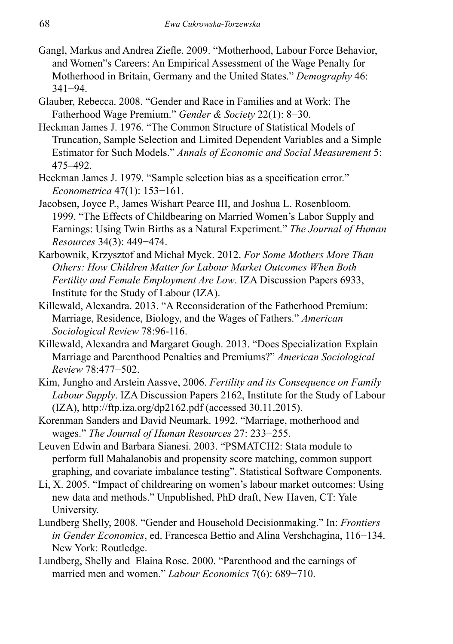- Gangl, Markus and Andrea Ziefle. 2009. "Motherhood, Labour Force Behavior, and Women"s Careers: An Empirical Assessment of the Wage Penalty for Motherhood in Britain, Germany and the United States." *Demography* 46: 341−94.
- Glauber, Rebecca. 2008. "Gender and Race in Families and at Work: The Fatherhood Wage Premium." *Gender & Society* 22(1): 8−30.
- Heckman James J. 1976. "The Common Structure of Statistical Models of Truncation, Sample Selection and Limited Dependent Variables and a Simple Estimator for Such Models." *Annals of Economic and Social Measurement* 5: 475–492.
- Heckman James J. 1979. "Sample selection bias as a specification error." *Econometrica* 47(1): 153−161.
- Jacobsen, Joyce P., James Wishart Pearce III, and Joshua L. Rosenbloom. 1999. "The Effects of Childbearing on Married Women's Labor Supply and Earnings: Using Twin Births as a Natural Experiment." *The Journal of Human Resources* 34(3): 449−474.
- Karbownik, Krzysztof and Michał Myck. 2012. *For Some Mothers More Than Others: How Children Matter for Labour Market Outcomes When Both Fertility and Female Employment Are Low*. IZA Discussion Papers 6933, Institute for the Study of Labour (IZA).
- Killewald, Alexandra. 2013. "A Reconsideration of the Fatherhood Premium: Marriage, Residence, Biology, and the Wages of Fathers." *American Sociological Review* 78:96-116.
- Killewald, Alexandra and Margaret Gough. 2013. "Does Specialization Explain Marriage and Parenthood Penalties and Premiums?" *American Sociological Review* 78:477−502.
- Kim, Jungho and Arstein Aassve, 2006. *Fertility and its Consequence on Family Labour Supply*. IZA Discussion Papers 2162, Institute for the Study of Labour (IZA), http://ftp.iza.org/dp2162.pdf (accessed 30.11.2015).
- Korenman Sanders and David Neumark. 1992. "Marriage, motherhood and wages." *The Journal of Human Resources* 27: 233−255.
- Leuven Edwin and Barbara Sianesi. 2003. "PSMATCH2: Stata module to perform full Mahalanobis and propensity score matching, common support graphing, and covariate imbalance testing". Statistical Software Components.
- Li, X. 2005. "Impact of childrearing on women's labour market outcomes: Using new data and methods." Unpublished, PhD draft, New Haven, CT: Yale University.
- Lundberg Shelly, 2008. "Gender and Household Decisionmaking." In: *Frontiers in Gender Economics*, ed. Francesca Bettio and Alina Vershchagina, 116−134. New York: Routledge.
- Lundberg, Shelly and Elaina Rose. 2000. "Parenthood and the earnings of married men and women." *Labour Economics* 7(6): 689−710.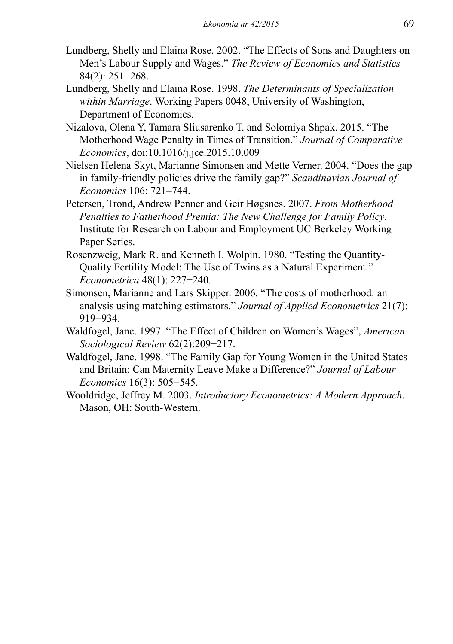- Lundberg, Shelly and Elaina Rose. 2002. "The Effects of Sons and Daughters on Men's Labour Supply and Wages." *The Review of Economics and Statistics* 84(2): 251−268.
- Lundberg, Shelly and Elaina Rose. 1998. *The Determinants of Specialization within Marriage*. Working Papers 0048, University of Washington, Department of Economics.
- Nizalova, Olena Y, Tamara Sliusarenko T. and Solomiya Shpak. 2015. "The Motherhood Wage Penalty in Times of Transition." *Journal of Comparative Economics*, doi:10.1016/j.jce.2015.10.009
- Nielsen Helena Skyt, Marianne Simonsen and Mette Verner. 2004. "Does the gap in family-friendly policies drive the family gap?" *Scandinavian Journal of Economics* 106: 721–744.
- Petersen, Trond, Andrew Penner and Geir Høgsnes. 2007. *From Motherhood Penalties to Fatherhood Premia: The New Challenge for Family Policy*. Institute for Research on Labour and Employment UC Berkeley Working Paper Series.
- Rosenzweig, Mark R. and Kenneth I. Wolpin. 1980. "Testing the Quantity-Quality Fertility Model: The Use of Twins as a Natural Experiment." *Econometrica* 48(1): 227−240.
- Simonsen, Marianne and Lars Skipper. 2006. "The costs of motherhood: an analysis using matching estimators." *Journal of Applied Econometrics* 21(7): 919−934.
- Waldfogel, Jane. 1997. "The Effect of Children on Women's Wages", *American Sociological Review* 62(2):209−217.
- Waldfogel, Jane. 1998. "The Family Gap for Young Women in the United States and Britain: Can Maternity Leave Make a Difference?" *Journal of Labour Economics* 16(3): 505−545.
- Wooldridge, Jeffrey M. 2003. *Introductory Econometrics: A Modern Approach*. Mason, OH: South-Western.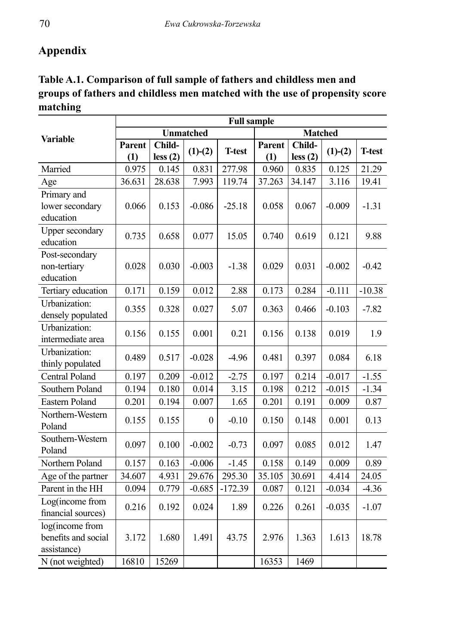# **Appendix**

| Table A.1. Comparison of full sample of fathers and childless men and        |
|------------------------------------------------------------------------------|
| groups of fathers and childless men matched with the use of propensity score |
| matching                                                                     |

|                                                       | <b>Full sample</b> |                   |                  |               |                |                   |           |               |  |  |
|-------------------------------------------------------|--------------------|-------------------|------------------|---------------|----------------|-------------------|-----------|---------------|--|--|
| <b>Variable</b>                                       |                    |                   | <b>Unmatched</b> |               | <b>Matched</b> |                   |           |               |  |  |
|                                                       | Parent<br>(1)      | Child-<br>less(2) | $(1)-(2)$        | <b>T-test</b> | Parent<br>(1)  | Child-<br>less(2) | $(1)-(2)$ | <b>T-test</b> |  |  |
| Married                                               | 0.975              | 0.145             | 0.831            | 277.98        | 0.960          | 0.835             | 0.125     | 21.29         |  |  |
| Age                                                   | 36.631             | 28.638            | 7.993            | 119.74        | 37.263         | 34.147            | 3.116     | 19.41         |  |  |
| Primary and<br>lower secondary<br>education           | 0.066              | 0.153             | $-0.086$         | $-25.18$      | 0.058          | 0.067             | $-0.009$  | $-1.31$       |  |  |
| <b>Upper secondary</b><br>education                   | 0.735              | 0.658             | 0.077            | 15.05         | 0.740          | 0.619             | 0.121     | 9.88          |  |  |
| Post-secondary<br>non-tertiary<br>education           | 0.028              | 0.030             | $-0.003$         | $-1.38$       | 0.029          | 0.031             | $-0.002$  | $-0.42$       |  |  |
| Tertiary education                                    | 0.171              | 0.159             | 0.012            | 2.88          | 0.173          | 0.284             | $-0.111$  | $-10.38$      |  |  |
| Urbanization:<br>densely populated                    | 0.355              | 0.328             | 0.027            | 5.07          | 0.363          | 0.466             | $-0.103$  | $-7.82$       |  |  |
| Urbanization:<br>intermediate area                    | 0.156              | 0.155             | 0.001            | 0.21          | 0.156          | 0.138             | 0.019     | 1.9           |  |  |
| Urbanization:<br>thinly populated                     | 0.489              | 0.517             | $-0.028$         | $-4.96$       | 0.481          | 0.397             | 0.084     | 6.18          |  |  |
| <b>Central Poland</b>                                 | 0.197              | 0.209             | $-0.012$         | $-2.75$       | 0.197          | 0.214             | $-0.017$  | $-1.55$       |  |  |
| Southern Poland                                       | 0.194              | 0.180             | 0.014            | 3.15          | 0.198          | 0.212             | $-0.015$  | $-1.34$       |  |  |
| <b>Eastern Poland</b>                                 | 0.201              | 0.194             | 0.007            | 1.65          | 0.201          | 0.191             | 0.009     | 0.87          |  |  |
| Northern-Western<br>Poland                            | 0.155              | 0.155             | $\theta$         | $-0.10$       | 0.150          | 0.148             | 0.001     | 0.13          |  |  |
| Southern-Western<br>Poland                            | 0.097              | 0.100             | $-0.002$         | $-0.73$       | 0.097          | 0.085             | 0.012     | 1.47          |  |  |
| Northern Poland                                       | 0.157              | 0.163             | $-0.006$         | $-1.45$       | 0.158          | 0.149             | 0.009     | 0.89          |  |  |
| Age of the partner                                    | 34.607             | 4.931             | 29.676           | 295.30        | 35.105         | 30.691            | 4.414     | 24.05         |  |  |
| Parent in the HH                                      | 0.094              | 0.779             | $-0.685$         | $-172.39$     | 0.087          | 0.121             | $-0.034$  | $-4.36$       |  |  |
| Log(income from<br>financial sources)                 | 0.216              | 0.192             | 0.024            | 1.89          | 0.226          | 0.261             | $-0.035$  | $-1.07$       |  |  |
| log(income from<br>benefits and social<br>assistance) | 3.172              | 1.680             | 1.491            | 43.75         | 2.976          | 1.363             | 1.613     | 18.78         |  |  |
| N (not weighted)                                      | 16810              | 15269             |                  |               | 16353          | 1469              |           |               |  |  |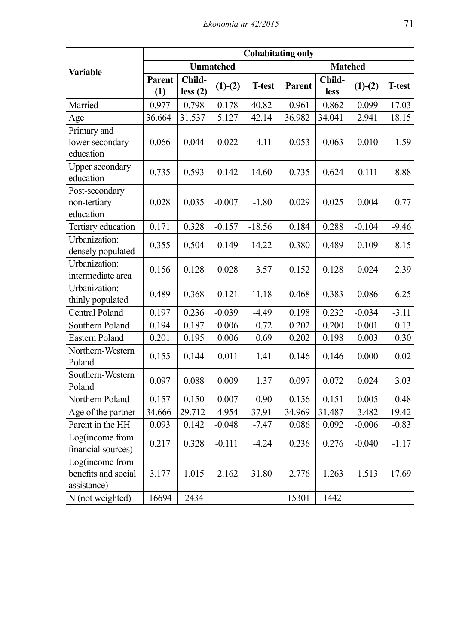|                                                       |               |                   | <b>Cohabitating only</b> |               |                |                |           |               |  |
|-------------------------------------------------------|---------------|-------------------|--------------------------|---------------|----------------|----------------|-----------|---------------|--|
| <b>Variable</b>                                       |               |                   | <b>Unmatched</b>         |               | <b>Matched</b> |                |           |               |  |
|                                                       | Parent<br>(1) | Child-<br>less(2) | $(1)-(2)$                | <b>T-test</b> | Parent         | Child-<br>less | $(1)-(2)$ | <b>T-test</b> |  |
| Married                                               | 0.977         | 0.798             | 0.178                    | 40.82         | 0.961          | 0.862          | 0.099     | 17.03         |  |
| Age                                                   | 36.664        | 31.537            | 5.127                    | 42.14         | 36.982         | 34.041         | 2.941     | 18.15         |  |
| Primary and<br>lower secondary<br>education           | 0.066         | 0.044             | 0.022                    | 4.11          | 0.053          | 0.063          | $-0.010$  | $-1.59$       |  |
| <b>Upper secondary</b><br>education                   | 0.735         | 0.593             | 0.142                    | 14.60         | 0.735          | 0.624          | 0.111     | 8.88          |  |
| Post-secondary<br>non-tertiary<br>education           | 0.028         | 0.035             | $-0.007$                 | $-1.80$       | 0.029          | 0.025          | 0.004     | 0.77          |  |
| Tertiary education                                    | 0.171         | 0.328             | $-0.157$                 | $-18.56$      | 0.184          | 0.288          | $-0.104$  | $-9.46$       |  |
| Urbanization:<br>densely populated                    | 0.355         | 0.504             | $-0.149$                 | $-14.22$      | 0.380          | 0.489          | $-0.109$  | $-8.15$       |  |
| Urbanization:<br>intermediate area                    | 0.156         | 0.128             | 0.028                    | 3.57          | 0.152          | 0.128          | 0.024     | 2.39          |  |
| Urbanization:<br>thinly populated                     | 0.489         | 0.368             | 0.121                    | 11.18         | 0.468          | 0.383          | 0.086     | 6.25          |  |
| Central Poland                                        | 0.197         | 0.236             | $-0.039$                 | $-4.49$       | 0.198          | 0.232          | $-0.034$  | $-3.11$       |  |
| Southern Poland                                       | 0.194         | 0.187             | 0.006                    | 0.72          | 0.202          | 0.200          | 0.001     | 0.13          |  |
| Eastern Poland                                        | 0.201         | 0.195             | 0.006                    | 0.69          | 0.202          | 0.198          | 0.003     | 0.30          |  |
| Northern-Western<br>Poland                            | 0.155         | 0.144             | 0.011                    | 1.41          | 0.146          | 0.146          | 0.000     | 0.02          |  |
| Southern-Western<br>Poland                            | 0.097         | 0.088             | 0.009                    | 1.37          | 0.097          | 0.072          | 0.024     | 3.03          |  |
| Northern Poland                                       | 0.157         | 0.150             | 0.007                    | 0.90          | 0.156          | 0.151          | 0.005     | 0.48          |  |
| Age of the partner                                    | 34.666        | 29.712            | 4.954                    | 37.91         | 34.969         | 31.487         | 3.482     | 19.42         |  |
| Parent in the HH                                      | 0.093         | 0.142             | $-0.048$                 | $-7.47$       | 0.086          | 0.092          | $-0.006$  | $-0.83$       |  |
| Log(income from<br>financial sources)                 | 0.217         | 0.328             | $-0.111$                 | $-4.24$       | 0.236          | 0.276          | $-0.040$  | $-1.17$       |  |
| Log(income from<br>benefits and social<br>assistance) | 3.177         | 1.015             | 2.162                    | 31.80         | 2.776          | 1.263          | 1.513     | 17.69         |  |
| N (not weighted)                                      | 16694         | 2434              |                          |               | 15301          | 1442           |           |               |  |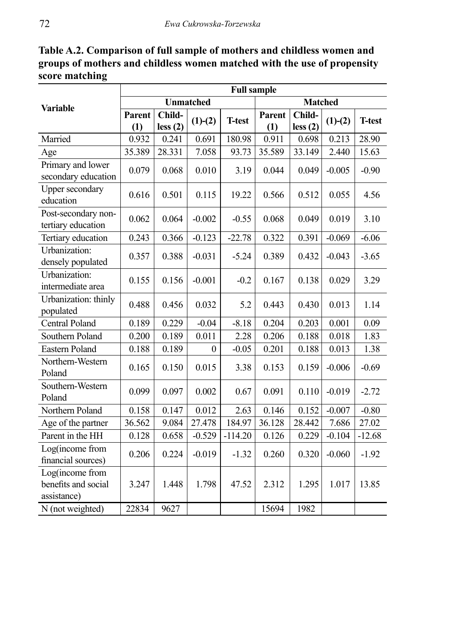**Table A.2. Comparison of full sample of mothers and childless women and groups of mothers and childless women matched with the use of propensity score matching**

|                                                       | <b>Full sample</b> |                   |                  |               |               |                   |           |               |  |  |
|-------------------------------------------------------|--------------------|-------------------|------------------|---------------|---------------|-------------------|-----------|---------------|--|--|
| <b>Variable</b>                                       |                    |                   | <b>Unmatched</b> |               |               | <b>Matched</b>    |           |               |  |  |
|                                                       | Parent<br>(1)      | Child-<br>less(2) | $(1)-(2)$        | <b>T-test</b> | Parent<br>(1) | Child-<br>less(2) | $(1)-(2)$ | <b>T-test</b> |  |  |
| Married                                               | 0.932              | 0.241             | 0.691            | 180.98        | 0.911         | 0.698             | 0.213     | 28.90         |  |  |
| Age                                                   | 35.389             | 28.331            | 7.058            | 93.73         | 35.589        | 33.149            | 2.440     | 15.63         |  |  |
| Primary and lower<br>secondary education              | 0.079              | 0.068             | 0.010            | 3.19          | 0.044         | 0.049             | $-0.005$  | $-0.90$       |  |  |
| Upper secondary<br>education                          | 0.616              | 0.501             | 0.115            | 19.22         | 0.566         | 0.512             | 0.055     | 4.56          |  |  |
| Post-secondary non-<br>tertiary education             | 0.062              | 0.064             | $-0.002$         | $-0.55$       | 0.068         | 0.049             | 0.019     | 3.10          |  |  |
| Tertiary education                                    | 0.243              | 0.366             | $-0.123$         | $-22.78$      | 0.322         | 0.391             | $-0.069$  | $-6.06$       |  |  |
| Urbanization:<br>densely populated                    | 0.357              | 0.388             | $-0.031$         | $-5.24$       | 0.389         | 0.432             | $-0.043$  | $-3.65$       |  |  |
| Urbanization:<br>intermediate area                    | 0.155              | 0.156             | $-0.001$         | $-0.2$        | 0.167         | 0.138             | 0.029     | 3.29          |  |  |
| Urbanization: thinly<br>populated                     | 0.488              | 0.456             | 0.032            | 5.2           | 0.443         | 0.430             | 0.013     | 1.14          |  |  |
| <b>Central Poland</b>                                 | 0.189              | 0.229             | $-0.04$          | $-8.18$       | 0.204         | 0.203             | 0.001     | 0.09          |  |  |
| Southern Poland                                       | 0.200              | 0.189             | 0.011            | 2.28          | 0.206         | 0.188             | 0.018     | 1.83          |  |  |
| Eastern Poland                                        | 0.188              | 0.189             | $\mathbf{0}$     | $-0.05$       | 0.201         | 0.188             | 0.013     | 1.38          |  |  |
| Northern-Western<br>Poland                            | 0.165              | 0.150             | 0.015            | 3.38          | 0.153         | 0.159             | $-0.006$  | $-0.69$       |  |  |
| Southern-Western<br>Poland                            | 0.099              | 0.097             | 0.002            | 0.67          | 0.091         | 0.110             | $-0.019$  | $-2.72$       |  |  |
| Northern Poland                                       | 0.158              | 0.147             | 0.012            | 2.63          | 0.146         | 0.152             | $-0.007$  | $-0.80$       |  |  |
| Age of the partner                                    | 36.562             | 9.084             | 27.478           | 184.97        | 36.128        | 28.442            | 7.686     | 27.02         |  |  |
| Parent in the HH                                      | 0.128              | 0.658             | $-0.529$         | $-114.20$     | 0.126         | 0.229             | $-0.104$  | $-12.68$      |  |  |
| Log(income from<br>financial sources)                 | 0.206              | 0.224             | $-0.019$         | $-1.32$       | 0.260         | 0.320             | $-0.060$  | $-1.92$       |  |  |
| Log(income from<br>benefits and social<br>assistance) | 3.247              | 1.448             | 1.798            | 47.52         | 2.312         | 1.295             | 1.017     | 13.85         |  |  |
| N (not weighted)                                      | 22834              | 9627              |                  |               | 15694         | 1982              |           |               |  |  |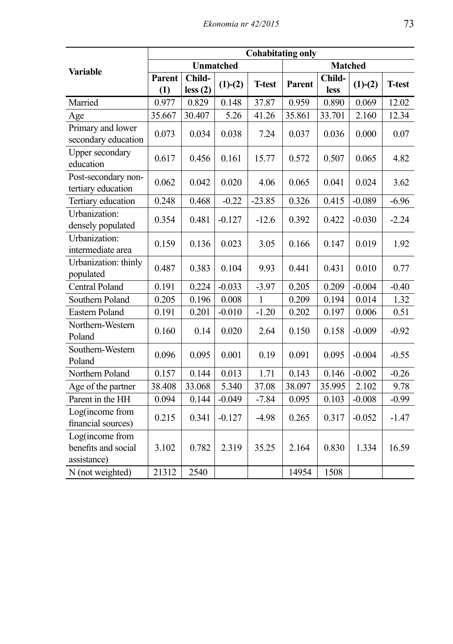|                                                       | <b>Cohabitating only</b> |                   |                  |               |        |                |           |                |  |  |
|-------------------------------------------------------|--------------------------|-------------------|------------------|---------------|--------|----------------|-----------|----------------|--|--|
| <b>Variable</b>                                       |                          |                   | <b>Unmatched</b> |               |        | <b>Matched</b> |           |                |  |  |
|                                                       | Parent<br>(1)            | Child-<br>less(2) | $(1)-(2)$        | <b>T-test</b> | Parent | Child-<br>less | $(1)-(2)$ | <b>T</b> -test |  |  |
| Married                                               | 0.977                    | 0.829             | 0.148            | 37.87         | 0.959  | 0.890          | 0.069     | 12.02          |  |  |
| Age                                                   | 35.667                   | 30.407            | 5.26             | 41.26         | 35.861 | 33.701         | 2.160     | 12.34          |  |  |
| Primary and lower<br>secondary education              | 0.073                    | 0.034             | 0.038            | 7.24          | 0.037  | 0.036          | 0.000     | 0.07           |  |  |
| <b>Upper secondary</b><br>education                   | 0.617                    | 0.456             | 0.161            | 15.77         | 0.572  | 0.507          | 0.065     | 4.82           |  |  |
| Post-secondary non-<br>tertiary education             | 0.062                    | 0.042             | 0.020            | 4.06          | 0.065  | 0.041          | 0.024     | 3.62           |  |  |
| Tertiary education                                    | 0.248                    | 0.468             | $-0.22$          | $-23.85$      | 0.326  | 0.415          | $-0.089$  | $-6.96$        |  |  |
| Urbanization:<br>densely populated                    | 0.354                    | 0.481             | $-0.127$         | $-12.6$       | 0.392  | 0.422          | $-0.030$  | $-2.24$        |  |  |
| Urbanization:<br>intermediate area                    | 0.159                    | 0.136             | 0.023            | 3.05          | 0.166  | 0.147          | 0.019     | 1.92           |  |  |
| Urbanization: thinly<br>populated                     | 0.487                    | 0.383             | 0.104            | 9.93          | 0.441  | 0.431          | 0.010     | 0.77           |  |  |
| Central Poland                                        | 0.191                    | 0.224             | $-0.033$         | $-3.97$       | 0.205  | 0.209          | $-0.004$  | $-0.40$        |  |  |
| Southern Poland                                       | 0.205                    | 0.196             | 0.008            | $\mathbf{1}$  | 0.209  | 0.194          | 0.014     | 1.32           |  |  |
| Eastern Poland                                        | 0.191                    | 0.201             | $-0.010$         | $-1.20$       | 0.202  | 0.197          | 0.006     | 0.51           |  |  |
| Northern-Western<br>Poland                            | 0.160                    | 0.14              | 0.020            | 2.64          | 0.150  | 0.158          | $-0.009$  | $-0.92$        |  |  |
| Southern-Western<br>Poland                            | 0.096                    | 0.095             | 0.001            | 0.19          | 0.091  | 0.095          | $-0.004$  | $-0.55$        |  |  |
| Northern Poland                                       | 0.157                    | 0.144             | 0.013            | 1.71          | 0.143  | 0.146          | $-0.002$  | $-0.26$        |  |  |
| Age of the partner                                    | 38.408                   | 33.068            | 5.340            | 37.08         | 38.097 | 35.995         | 2.102     | 9.78           |  |  |
| Parent in the HH                                      | 0.094                    | 0.144             | $-0.049$         | $-7.84$       | 0.095  | 0.103          | $-0.008$  | $-0.99$        |  |  |
| Log(income from<br>financial sources)                 | 0.215                    | 0.341             | $-0.127$         | $-4.98$       | 0.265  | 0.317          | $-0.052$  | $-1.47$        |  |  |
| Log(income from<br>benefits and social<br>assistance) | 3.102                    | 0.782             | 2.319            | 35.25         | 2.164  | 0.830          | 1.334     | 16.59          |  |  |
| N (not weighted)                                      | 21312                    | 2540              |                  |               | 14954  | 1508           |           |                |  |  |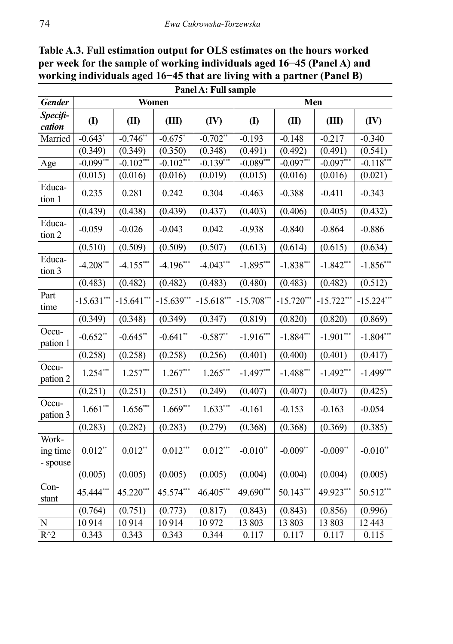|                               | Panel A: Full sample  |              |              |             |              |              |              |                       |  |
|-------------------------------|-----------------------|--------------|--------------|-------------|--------------|--------------|--------------|-----------------------|--|
| <b>Gender</b>                 |                       | Women        |              |             |              | Men          |              |                       |  |
| Specifi-<br>cation            | $\mathbf{I}$          | (II)         | (III)        | (IV)        | $\mathbf{I}$ | (II)         | (III)        | (IV)                  |  |
| Married                       | $-0.643$ <sup>*</sup> | $-0.746$ *   | $-0.675$     | $-0.702$ ** | $-0.193$     | $-0.148$     | $-0.217$     | $-0.340$              |  |
|                               | (0.349)               | (0.349)      | (0.350)      | (0.348)     | (0.491)      | (0.492)      | (0.491)      | (0.541)               |  |
| Age                           | $-0.099***$           | $-0.102$ **  | $-0.102$ *** | $-0.139***$ | $-0.089***$  | $-0.097***$  | $-0.097$     | $-0.118$ <sup>*</sup> |  |
|                               | (0.015)               | (0.016)      | (0.016)      | (0.019)     | (0.015)      | (0.016)      | (0.016)      | (0.021)               |  |
| Educa-<br>tion 1              | 0.235                 | 0.281        | 0.242        | 0.304       | $-0.463$     | $-0.388$     | $-0.411$     | $-0.343$              |  |
|                               | (0.439)               | (0.438)      | (0.439)      | (0.437)     | (0.403)      | (0.406)      | (0.405)      | (0.432)               |  |
| Educa-<br>tion 2              | $-0.059$              | $-0.026$     | $-0.043$     | 0.042       | $-0.938$     | $-0.840$     | $-0.864$     | $-0.886$              |  |
|                               | (0.510)               | (0.509)      | (0.509)      | (0.507)     | (0.613)      | (0.614)      | (0.615)      | (0.634)               |  |
| Educa-<br>tion 3              | $-4.208***$           | $-4.155***$  | $-4.196***$  | $-4.043***$ | $-1.895***$  | $-1.838***$  | $-1.842***$  | $-1.856***$           |  |
|                               | (0.483)               | (0.482)      | (0.482)      | (0.483)     | (0.480)      | (0.483)      | (0.482)      | (0.512)               |  |
| Part<br>time                  | $-15.631***$          | $-15.641***$ | $-15.639***$ | $-15.618**$ | $-15.708***$ | $-15.720***$ | $-15.722$ ** | $-15.224$ *           |  |
|                               | (0.349)               | (0.348)      | (0.349)      | (0.347)     | (0.819)      | (0.820)      | (0.820)      | (0.869)               |  |
| Occu-<br>pation 1             | $-0.652**$            | $-0.645$ **  | $-0.641$ **  | $-0.587**$  | $-1.916***$  | $-1.884***$  | $-1.901***$  | $-1.804***$           |  |
|                               | (0.258)               | (0.258)      | (0.258)      | (0.256)     | (0.401)      | (0.400)      | (0.401)      | (0.417)               |  |
| Occu-<br>pation 2             | $1.254***$            | $1.257***$   | $1.267***$   | $1.265***$  | $-1.497***$  | $-1.488***$  | $-1.492***$  | $-1.499***$           |  |
|                               | (0.251)               | (0.251)      | (0.251)      | (0.249)     | (0.407)      | (0.407)      | (0.407)      | (0.425)               |  |
| Occu-<br>pation 3             | $1.661***$            | $1.656***$   | $1.669***$   | $1.633***$  | $-0.161$     | $-0.153$     | $-0.163$     | $-0.054$              |  |
|                               | (0.283)               | (0.282)      | (0.283)      | (0.279)     | (0.368)      | (0.368)      | (0.369)      | (0.385)               |  |
| Work-<br>ing time<br>- spouse | $0.012**$             | $0.012**$    | $0.012***$   | $0.012***$  | $-0.010**$   | $-0.009**$   | $-0.009**$   | $-0.010**$            |  |
|                               | (0.005)               | (0.005)      | (0.005)      | (0.005)     | (0.004)      | (0.004)      | (0.004)      | (0.005)               |  |
| Con-<br>stant                 | 45.444***             | 45.220***    | 45.574***    | 46.405***   | 49.690***    | $50.143***$  | 49.923***    | 50.512**              |  |
|                               | (0.764)               | (0.751)      | (0.773)      | (0.817)     | (0.843)      | (0.843)      | (0.856)      | (0.996)               |  |
| $\overline{\text{N}}$         | 10914                 | 10914        | 10914        | 10972       | 13 803       | 13 803       | 13 803       | 12 4 43               |  |
| $R^{\wedge}2$                 | 0.343                 | 0.343        | 0.343        | 0.344       | 0.117        | 0.117        | 0.117        | 0.115                 |  |
|                               |                       |              |              |             |              |              |              |                       |  |

**Table A.3. Full estimation output for OLS estimates on the hours worked per week for the sample of working individuals aged 16−45 (Panel A) and working individuals aged 16−45 that are living with a partner (Panel B) Panel A: Full sample**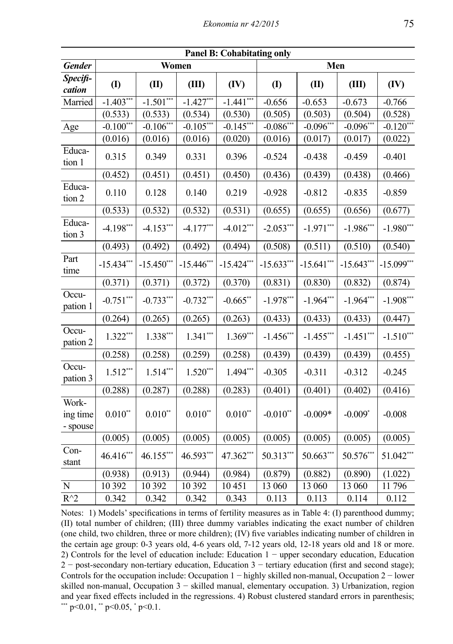| <b>Panel B: Cohabitating only</b> |              |              |               |              |              |              |              |              |
|-----------------------------------|--------------|--------------|---------------|--------------|--------------|--------------|--------------|--------------|
| <b>Gender</b>                     | Men<br>Women |              |               |              |              |              |              |              |
| Specifi-<br>cation                | (1)          | (II)         | (III)         | (IV)         | $\mathbf{I}$ | (II)         | (III)        | (IV)         |
| Married                           | $-1.403***$  | $-1.501***$  | $-1.427***$   | $-1.441***$  | $-0.656$     | $-0.653$     | $-0.673$     | $-0.766$     |
|                                   | (0.533)      | (0.533)      | (0.534)       | (0.530)      | (0.505)      | (0.503)      | (0.504)      | (0.528)      |
| Age                               | $-0.100***$  | $-0.106***$  | $-0.105***$   | $-0.145***$  | $-0.086***$  | $-0.096***$  | $-0.096***$  | $-0.120$ **  |
|                                   | (0.016)      | (0.016)      | (0.016)       | (0.020)      | (0.016)      | (0.017)      | (0.017)      | (0.022)      |
| Educa-<br>tion 1                  | 0.315        | 0.349        | 0.331         | 0.396        | $-0.524$     | $-0.438$     | $-0.459$     | $-0.401$     |
|                                   | (0.452)      | (0.451)      | (0.451)       | (0.450)      | (0.436)      | (0.439)      | (0.438)      | (0.466)      |
| Educa-<br>tion 2                  | 0.110        | 0.128        | 0.140         | 0.219        | $-0.928$     | $-0.812$     | $-0.835$     | $-0.859$     |
|                                   | (0.533)      | (0.532)      | (0.532)       | (0.531)      | (0.655)      | (0.655)      | (0.656)      | (0.677)      |
| Educa-<br>tion 3                  | $-4.198***$  | $-4.153***$  | $-4.177***$   | $-4.012***$  | $-2.053***$  | $-1.971***$  | $-1.986$ **  | $-1.980***$  |
|                                   | (0.493)      | (0.492)      | (0.492)       | (0.494)      | (0.508)      | (0.511)      | (0.510)      | (0.540)      |
| Part<br>time                      | $-15.434***$ | $-15.450***$ | $-15.446$ *** | $-15.424***$ | $-15.633***$ | $-15.641***$ | $-15.643***$ | $-15.099***$ |
|                                   | (0.371)      | (0.371)      | (0.372)       | (0.370)      | (0.831)      | (0.830)      | (0.832)      | (0.874)      |
| Occu-<br>pation 1                 | $-0.751***$  | $-0.733***$  | $-0.732***$   | $-0.665$ **  | $-1.978***$  | $-1.964***$  | $-1.964***$  | $-1.908***$  |
|                                   | (0.264)      | (0.265)      | (0.265)       | (0.263)      | (0.433)      | (0.433)      | (0.433)      | (0.447)      |
| Occu-<br>pation 2                 | $1.322***$   | $1.338***$   | $1.341***$    | $1.369***$   | $-1.456***$  | $-1.455***$  | $-1.451***$  | $-1.510***$  |
|                                   | (0.258)      | (0.258)      | (0.259)       | (0.258)      | (0.439)      | (0.439)      | (0.439)      | (0.455)      |
| Occu-<br>pation 3                 | $1.512***$   | $1.514***$   | $1.520***$    | $1.494***$   | $-0.305$     | $-0.311$     | $-0.312$     | $-0.245$     |
|                                   | (0.288)      | (0.287)      | (0.288)       | (0.283)      | (0.401)      | (0.401)      | (0.402)      | (0.416)      |
| Work-<br>ing time<br>- spouse     | $0.010^{**}$ | $0.010**$    | $0.010**$     | $0.010**$    | $-0.010**$   | $-0.009*$    | $-0.009*$    | $-0.008$     |
|                                   | (0.005)      | (0.005)      | (0.005)       | (0.005)      | (0.005)      | (0.005)      | (0.005)      | (0.005)      |
| Con-<br>stant                     | 46.416***    | 46.155***    | 46.593***     | 47.362***    | 50.313***    | 50.663***    | 50.576***    | 51.042**     |
|                                   | (0.938)      | (0.913)      | (0.944)       | (0.984)      | (0.879)      | (0.882)      | (0.890)      | (1.022)      |
| $\overline{\mathbf{N}}$           | 10 392       | 10 3 9 2     | 10 392        | 10451        | 13 060       | 13 060       | 13 060       | 11796        |
| $R^2$                             | 0.342        | 0.342        | 0.342         | 0.343        | 0.113        | 0.113        | 0.114        | 0.112        |

Notes: 1) Models' specifications in terms of fertility measures as in Table 4: (I) parenthood dummy; (II) total number of children; (III) three dummy variables indicating the exact number of children (one child, two children, three or more children); (IV) five variables indicating number of children in the certain age group: 0-3 years old, 4-6 years old, 7-12 years old, 12-18 years old and 18 or more. 2) Controls for the level of education include: Education 1 − upper secondary education, Education 2 − post-secondary non-tertiary education, Education 3 − tertiary education (first and second stage); Controls for the occupation include: Occupation 1 − highly skilled non-manual, Occupation 2 − lower skilled non-manual, Occupation 3 − skilled manual, elementary occupation. 3) Urbanization, region and year fixed effects included in the regressions. 4) Robust clustered standard errors in parenthesis; \*\*\* p<0.01, \*\* p<0.05, \* p<0.1.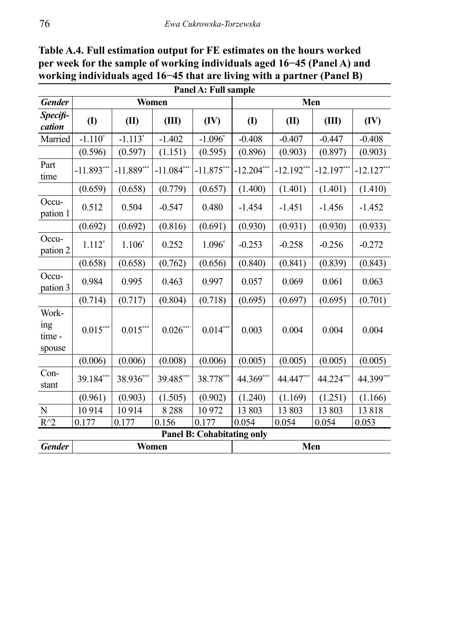| Panel A: Full sample             |                             |              |              |                                   |              |              |              |              |  |
|----------------------------------|-----------------------------|--------------|--------------|-----------------------------------|--------------|--------------|--------------|--------------|--|
| <b>Gender</b>                    | Women                       |              |              |                                   | Men          |              |              |              |  |
| Specifi-<br>cation               | $\left( \mathbf{I} \right)$ | (II)         | (III)        | (IV)                              | $\mathbf{I}$ | (II)         | (III)        | (IV)         |  |
| Married                          | $-1.110*$                   | $-1.113*$    | $-1.402$     | $-1.096*$                         | $-0.408$     | $-0.407$     | $-0.447$     | $-0.408$     |  |
|                                  | (0.596)                     | (0.597)      | (1.151)      | (0.595)                           | (0.896)      | (0.903)      | (0.897)      | (0.903)      |  |
| Part<br>time                     | $-11.893***$                | $-11.889***$ | $-11.084***$ | $-11.875***$                      | $-12.204***$ | $-12.192***$ | $-12.197***$ | $-12.127***$ |  |
|                                  | (0.659)                     | (0.658)      | (0.779)      | (0.657)                           | (1.400)      | (1.401)      | (1.401)      | (1.410)      |  |
| Occu-<br>pation 1                | 0.512                       | 0.504        | $-0.547$     | 0.480                             | $-1.454$     | $-1.451$     | $-1.456$     | $-1.452$     |  |
|                                  | (0.692)                     | (0.692)      | (0.816)      | (0.691)                           | (0.930)      | (0.931)      | (0.930)      | (0.933)      |  |
| Occu-<br>pation 2                | $1.112*$                    | $1.106*$     | 0.252        | $1.096*$                          | $-0.253$     | $-0.258$     | $-0.256$     | $-0.272$     |  |
|                                  | (0.658)                     | (0.658)      | (0.762)      | (0.656)                           | (0.840)      | (0.841)      | (0.839)      | (0.843)      |  |
| Occu-<br>pation 3                | 0.984                       | 0.995        | 0.463        | 0.997                             | 0.057        | 0.069        | 0.061        | 0.063        |  |
|                                  | (0.714)                     | (0.717)      | (0.804)      | (0.718)                           | (0.695)      | (0.697)      | (0.695)      | (0.701)      |  |
| Work-<br>ing<br>time -<br>spouse | $0.015***$                  | $0.015***$   | $0.026***$   | $0.014***$                        | 0.003        | 0.004        | 0.004        | 0.004        |  |
|                                  | (0.006)                     | (0.006)      | (0.008)      | (0.006)                           | (0.005)      | (0.005)      | (0.005)      | (0.005)      |  |
| Con-<br>stant                    | 39.184***                   | 38.936***    | 39.485***    | 38.778***                         | 44.369***    | 44.447***    | 44.224***    | 44.399***    |  |
|                                  | (0.961)                     | (0.903)      | (1.505)      | (0.902)                           | (1.240)      | (1.169)      | (1.251)      | (1.166)      |  |
| N                                | 10914                       | 10914        | 8288         | 10 972                            | 13 803       | 13 803       | 13803        | 13818        |  |
| $R^{\wedge}2$                    | 0.177                       | 0.177        | 0.156        | 0.177                             | 0.054        | 0.054        | 0.054        | 0.053        |  |
|                                  |                             |              |              | <b>Panel B: Cohabitating only</b> |              |              |              |              |  |
| <b>Gender</b>                    | Women                       |              |              |                                   | Men          |              |              |              |  |

**Table A.4. Full estimation output for FE estimates on the hours worked per week for the sample of working individuals aged 16−45 (Panel A) and working individuals aged 16−45 that are living with a partner (Panel B)**